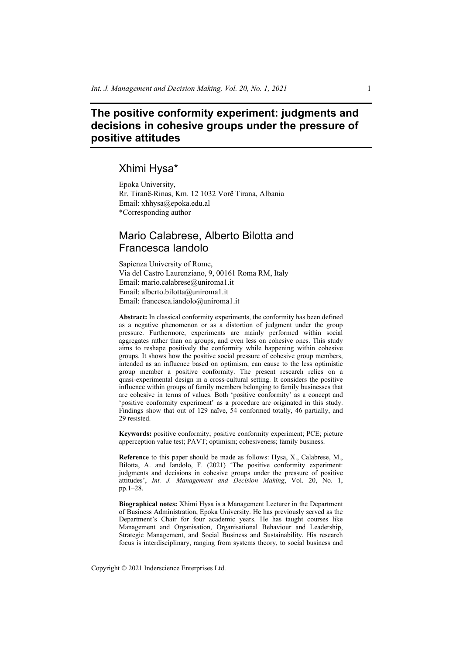# **The positive conformity experiment: judgments and decisions in cohesive groups under the pressure of positive attitudes**

# Xhimi Hysa\*

Epoka University, Rr. Tiranë-Rinas, Km. 12 1032 Vorë Tirana, Albania Email: xhhysa@epoka.edu.al \*Corresponding author

# Mario Calabrese, Alberto Bilotta and Francesca Iandolo

Sapienza University of Rome, Via del Castro Laurenziano, 9, 00161 Roma RM, Italy Email: mario.calabrese@uniroma1.it Email: alberto.bilotta@uniroma1.it Email: francesca.iandolo@uniroma1.it

**Abstract:** In classical conformity experiments, the conformity has been defined as a negative phenomenon or as a distortion of judgment under the group pressure. Furthermore, experiments are mainly performed within social aggregates rather than on groups, and even less on cohesive ones. This study aims to reshape positively the conformity while happening within cohesive groups. It shows how the positive social pressure of cohesive group members, intended as an influence based on optimism, can cause to the less optimistic group member a positive conformity. The present research relies on a quasi-experimental design in a cross-cultural setting. It considers the positive influence within groups of family members belonging to family businesses that are cohesive in terms of values. Both 'positive conformity' as a concept and 'positive conformity experiment' as a procedure are originated in this study. Findings show that out of 129 naïve, 54 conformed totally, 46 partially, and 29 resisted.

**Keywords:** positive conformity; positive conformity experiment; PCE; picture apperception value test; PAVT; optimism; cohesiveness; family business.

**Reference** to this paper should be made as follows: Hysa, X., Calabrese, M., Bilotta, A. and Iandolo, F. (2021) 'The positive conformity experiment: judgments and decisions in cohesive groups under the pressure of positive attitudes', *Int. J. Management and Decision Making*, Vol. 20, No. 1, pp.1–28.

**Biographical notes:** Xhimi Hysa is a Management Lecturer in the Department of Business Administration, Epoka University. He has previously served as the Department's Chair for four academic years. He has taught courses like Management and Organisation, Organisational Behaviour and Leadership, Strategic Management, and Social Business and Sustainability. His research focus is interdisciplinary, ranging from systems theory, to social business and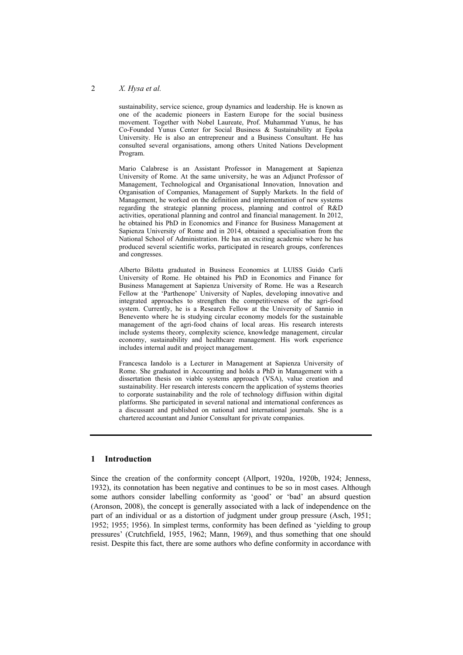#### 2 *X. Hysa et al.*

sustainability, service science, group dynamics and leadership. He is known as one of the academic pioneers in Eastern Europe for the social business movement. Together with Nobel Laureate, Prof. Muhammad Yunus, he has Co-Founded Yunus Center for Social Business & Sustainability at Epoka University. He is also an entrepreneur and a Business Consultant. He has consulted several organisations, among others United Nations Development Program.

Mario Calabrese is an Assistant Professor in Management at Sapienza University of Rome. At the same university, he was an Adjunct Professor of Management, Technological and Organisational Innovation, Innovation and Organisation of Companies, Management of Supply Markets. In the field of Management, he worked on the definition and implementation of new systems regarding the strategic planning process, planning and control of R&D activities, operational planning and control and financial management. In 2012, he obtained his PhD in Economics and Finance for Business Management at Sapienza University of Rome and in 2014, obtained a specialisation from the National School of Administration. He has an exciting academic where he has produced several scientific works, participated in research groups, conferences and congresses.

Alberto Bilotta graduated in Business Economics at LUISS Guido Carli University of Rome. He obtained his PhD in Economics and Finance for Business Management at Sapienza University of Rome. He was a Research Fellow at the 'Parthenope' University of Naples, developing innovative and integrated approaches to strengthen the competitiveness of the agri-food system. Currently, he is a Research Fellow at the University of Sannio in Benevento where he is studying circular economy models for the sustainable management of the agri-food chains of local areas. His research interests include systems theory, complexity science, knowledge management, circular economy, sustainability and healthcare management. His work experience includes internal audit and project management.

Francesca Iandolo is a Lecturer in Management at Sapienza University of Rome. She graduated in Accounting and holds a PhD in Management with a dissertation thesis on viable systems approach (VSA), value creation and sustainability. Her research interests concern the application of systems theories to corporate sustainability and the role of technology diffusion within digital platforms. She participated in several national and international conferences as a discussant and published on national and international journals. She is a chartered accountant and Junior Consultant for private companies.

## **1 Introduction**

Since the creation of the conformity concept (Allport, 1920a, 1920b, 1924; Jenness, 1932), its connotation has been negative and continues to be so in most cases. Although some authors consider labelling conformity as 'good' or 'bad' an absurd question (Aronson, 2008), the concept is generally associated with a lack of independence on the part of an individual or as a distortion of judgment under group pressure (Asch, 1951; 1952; 1955; 1956). In simplest terms, conformity has been defined as 'yielding to group pressures' (Crutchfield, 1955, 1962; Mann, 1969), and thus something that one should resist. Despite this fact, there are some authors who define conformity in accordance with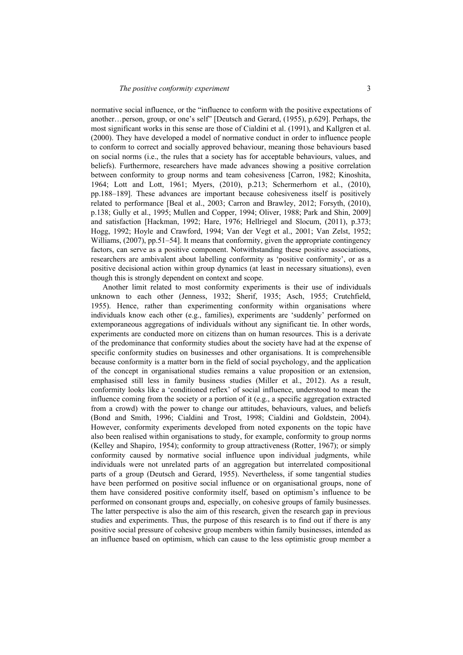normative social influence, or the "influence to conform with the positive expectations of another…person, group, or one's self" [Deutsch and Gerard, (1955), p.629]. Perhaps, the most significant works in this sense are those of Cialdini et al. (1991), and Kallgren et al. (2000). They have developed a model of normative conduct in order to influence people to conform to correct and socially approved behaviour, meaning those behaviours based on social norms (i.e., the rules that a society has for acceptable behaviours, values, and beliefs). Furthermore, researchers have made advances showing a positive correlation between conformity to group norms and team cohesiveness [Carron, 1982; Kinoshita, 1964; Lott and Lott, 1961; Myers, (2010), p.213; Schermerhorn et al., (2010), pp.188–189]. These advances are important because cohesiveness itself is positively related to performance [Beal et al., 2003; Carron and Brawley, 2012; Forsyth, (2010), p.138; Gully et al., 1995; Mullen and Copper, 1994; Oliver, 1988; Park and Shin, 2009] and satisfaction [Hackman, 1992; Hare, 1976; Hellriegel and Slocum, (2011), p.373; Hogg, 1992; Hoyle and Crawford, 1994; Van der Vegt et al., 2001; Van Zelst, 1952; Williams, (2007), pp.51–54]. It means that conformity, given the appropriate contingency factors, can serve as a positive component. Notwithstanding these positive associations, researchers are ambivalent about labelling conformity as 'positive conformity', or as a positive decisional action within group dynamics (at least in necessary situations), even though this is strongly dependent on context and scope.

Another limit related to most conformity experiments is their use of individuals unknown to each other (Jenness, 1932; Sherif, 1935; Asch, 1955; Crutchfield, 1955). Hence, rather than experimenting conformity within organisations where individuals know each other (e.g., families), experiments are 'suddenly' performed on extemporaneous aggregations of individuals without any significant tie. In other words, experiments are conducted more on citizens than on human resources. This is a derivate of the predominance that conformity studies about the society have had at the expense of specific conformity studies on businesses and other organisations. It is comprehensible because conformity is a matter born in the field of social psychology, and the application of the concept in organisational studies remains a value proposition or an extension, emphasised still less in family business studies (Miller et al., 2012). As a result, conformity looks like a 'conditioned reflex' of social influence, understood to mean the influence coming from the society or a portion of it (e.g., a specific aggregation extracted from a crowd) with the power to change our attitudes, behaviours, values, and beliefs (Bond and Smith, 1996; Cialdini and Trost, 1998; Cialdini and Goldstein, 2004). However, conformity experiments developed from noted exponents on the topic have also been realised within organisations to study, for example, conformity to group norms (Kelley and Shapiro, 1954); conformity to group attractiveness (Rotter, 1967); or simply conformity caused by normative social influence upon individual judgments, while individuals were not unrelated parts of an aggregation but interrelated compositional parts of a group (Deutsch and Gerard, 1955). Nevertheless, if some tangential studies have been performed on positive social influence or on organisational groups, none of them have considered positive conformity itself, based on optimism's influence to be performed on consonant groups and, especially, on cohesive groups of family businesses. The latter perspective is also the aim of this research, given the research gap in previous studies and experiments. Thus, the purpose of this research is to find out if there is any positive social pressure of cohesive group members within family businesses, intended as an influence based on optimism, which can cause to the less optimistic group member a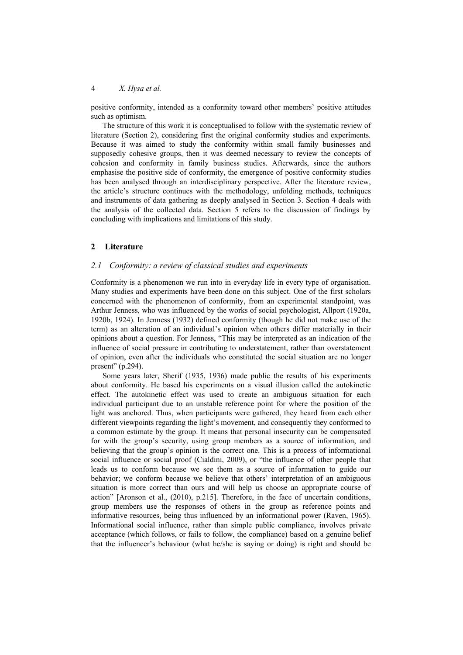positive conformity, intended as a conformity toward other members' positive attitudes such as optimism.

The structure of this work it is conceptualised to follow with the systematic review of literature (Section 2), considering first the original conformity studies and experiments. Because it was aimed to study the conformity within small family businesses and supposedly cohesive groups, then it was deemed necessary to review the concepts of cohesion and conformity in family business studies. Afterwards, since the authors emphasise the positive side of conformity, the emergence of positive conformity studies has been analysed through an interdisciplinary perspective. After the literature review, the article's structure continues with the methodology, unfolding methods, techniques and instruments of data gathering as deeply analysed in Section 3. Section 4 deals with the analysis of the collected data. Section 5 refers to the discussion of findings by concluding with implications and limitations of this study.

## **2 Literature**

### *2.1 Conformity: a review of classical studies and experiments*

Conformity is a phenomenon we run into in everyday life in every type of organisation. Many studies and experiments have been done on this subject. One of the first scholars concerned with the phenomenon of conformity, from an experimental standpoint, was Arthur Jenness, who was influenced by the works of social psychologist, Allport (1920a, 1920b, 1924). In Jenness (1932) defined conformity (though he did not make use of the term) as an alteration of an individual's opinion when others differ materially in their opinions about a question. For Jenness, "This may be interpreted as an indication of the influence of social pressure in contributing to understatement, rather than overstatement of opinion, even after the individuals who constituted the social situation are no longer present" (p.294).

Some years later, Sherif (1935, 1936) made public the results of his experiments about conformity. He based his experiments on a visual illusion called the autokinetic effect. The autokinetic effect was used to create an ambiguous situation for each individual participant due to an unstable reference point for where the position of the light was anchored. Thus, when participants were gathered, they heard from each other different viewpoints regarding the light's movement, and consequently they conformed to a common estimate by the group. It means that personal insecurity can be compensated for with the group's security, using group members as a source of information, and believing that the group's opinion is the correct one. This is a process of informational social influence or social proof (Cialdini, 2009), or "the influence of other people that leads us to conform because we see them as a source of information to guide our behavior; we conform because we believe that others' interpretation of an ambiguous situation is more correct than ours and will help us choose an appropriate course of action" [Aronson et al., (2010), p.215]. Therefore, in the face of uncertain conditions, group members use the responses of others in the group as reference points and informative resources, being thus influenced by an informational power (Raven, 1965). Informational social influence, rather than simple public compliance, involves private acceptance (which follows, or fails to follow, the compliance) based on a genuine belief that the influencer's behaviour (what he/she is saying or doing) is right and should be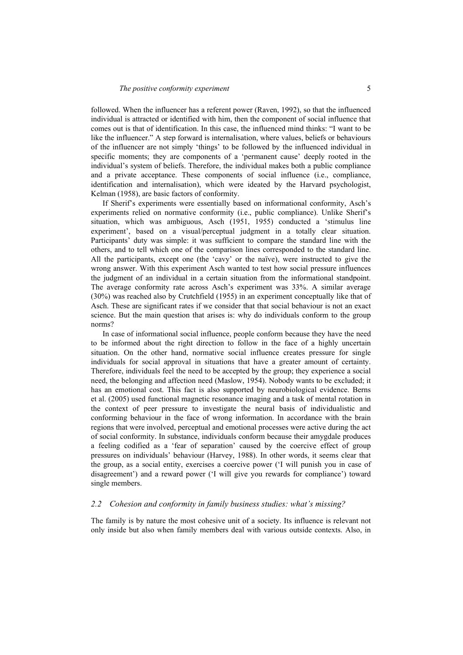followed. When the influencer has a referent power (Raven, 1992), so that the influenced individual is attracted or identified with him, then the component of social influence that comes out is that of identification. In this case, the influenced mind thinks: "I want to be like the influencer." A step forward is internalisation, where values, beliefs or behaviours of the influencer are not simply 'things' to be followed by the influenced individual in specific moments; they are components of a 'permanent cause' deeply rooted in the individual's system of beliefs. Therefore, the individual makes both a public compliance and a private acceptance. These components of social influence (i.e., compliance, identification and internalisation), which were ideated by the Harvard psychologist, Kelman (1958), are basic factors of conformity.

If Sherif's experiments were essentially based on informational conformity, Asch's experiments relied on normative conformity (i.e., public compliance). Unlike Sherif's situation, which was ambiguous, Asch (1951, 1955) conducted a 'stimulus line experiment', based on a visual/perceptual judgment in a totally clear situation. Participants' duty was simple: it was sufficient to compare the standard line with the others, and to tell which one of the comparison lines corresponded to the standard line. All the participants, except one (the 'cavy' or the naïve), were instructed to give the wrong answer. With this experiment Asch wanted to test how social pressure influences the judgment of an individual in a certain situation from the informational standpoint. The average conformity rate across Asch's experiment was 33%. A similar average (30%) was reached also by Crutchfield (1955) in an experiment conceptually like that of Asch. These are significant rates if we consider that that social behaviour is not an exact science. But the main question that arises is: why do individuals conform to the group norms?

In case of informational social influence, people conform because they have the need to be informed about the right direction to follow in the face of a highly uncertain situation. On the other hand, normative social influence creates pressure for single individuals for social approval in situations that have a greater amount of certainty. Therefore, individuals feel the need to be accepted by the group; they experience a social need, the belonging and affection need (Maslow, 1954). Nobody wants to be excluded; it has an emotional cost. This fact is also supported by neurobiological evidence. Berns et al. (2005) used functional magnetic resonance imaging and a task of mental rotation in the context of peer pressure to investigate the neural basis of individualistic and conforming behaviour in the face of wrong information. In accordance with the brain regions that were involved, perceptual and emotional processes were active during the act of social conformity. In substance, individuals conform because their amygdale produces a feeling codified as a 'fear of separation' caused by the coercive effect of group pressures on individuals' behaviour (Harvey, 1988). In other words, it seems clear that the group, as a social entity, exercises a coercive power ('I will punish you in case of disagreement') and a reward power ('I will give you rewards for compliance') toward single members.

### *2.2 Cohesion and conformity in family business studies: what's missing?*

The family is by nature the most cohesive unit of a society. Its influence is relevant not only inside but also when family members deal with various outside contexts. Also, in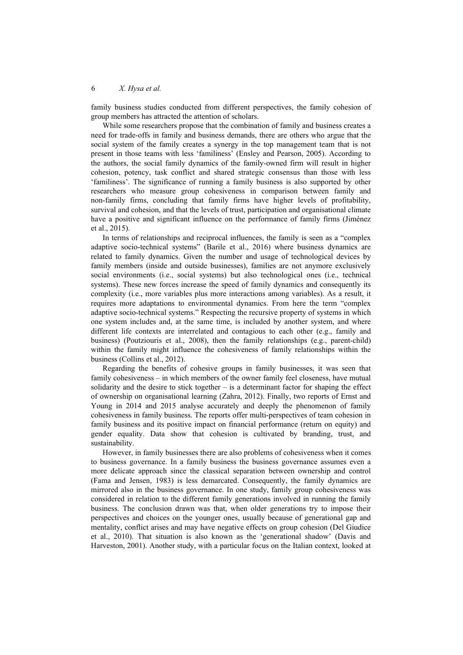family business studies conducted from different perspectives, the family cohesion of group members has attracted the attention of scholars.

While some researchers propose that the combination of family and business creates a need for trade-offs in family and business demands, there are others who argue that the social system of the family creates a synergy in the top management team that is not present in those teams with less 'familiness' (Ensley and Pearson, 2005). According to the authors, the social family dynamics of the family-owned firm will result in higher cohesion, potency, task conflict and shared strategic consensus than those with less 'familiness'. The significance of running a family business is also supported by other researchers who measure group cohesiveness in comparison between family and non-family firms, concluding that family firms have higher levels of profitability, survival and cohesion, and that the levels of trust, participation and organisational climate have a positive and significant influence on the performance of family firms (Jiménez et al., 2015).

In terms of relationships and reciprocal influences, the family is seen as a "complex adaptive socio-technical systems" (Barile et al., 2016) where business dynamics are related to family dynamics. Given the number and usage of technological devices by family members (inside and outside businesses), families are not anymore exclusively social environments (i.e., social systems) but also technological ones (i.e., technical systems). These new forces increase the speed of family dynamics and consequently its complexity (i.e., more variables plus more interactions among variables). As a result, it requires more adaptations to environmental dynamics. From here the term "complex adaptive socio-technical systems." Respecting the recursive property of systems in which one system includes and, at the same time, is included by another system, and where different life contexts are interrelated and contagious to each other (e.g., family and business) (Poutziouris et al., 2008), then the family relationships (e.g., parent-child) within the family might influence the cohesiveness of family relationships within the business (Collins et al., 2012).

Regarding the benefits of cohesive groups in family businesses, it was seen that family cohesiveness – in which members of the owner family feel closeness, have mutual solidarity and the desire to stick together – is a determinant factor for shaping the effect of ownership on organisational learning (Zahra, 2012). Finally, two reports of Ernst and Young in 2014 and 2015 analyse accurately and deeply the phenomenon of family cohesiveness in family business. The reports offer multi-perspectives of team cohesion in family business and its positive impact on financial performance (return on equity) and gender equality. Data show that cohesion is cultivated by branding, trust, and sustainability.

However, in family businesses there are also problems of cohesiveness when it comes to business governance. In a family business the business governance assumes even a more delicate approach since the classical separation between ownership and control (Fama and Jensen, 1983) is less demarcated. Consequently, the family dynamics are mirrored also in the business governance. In one study, family group cohesiveness was considered in relation to the different family generations involved in running the family business. The conclusion drawn was that, when older generations try to impose their perspectives and choices on the younger ones, usually because of generational gap and mentality, conflict arises and may have negative effects on group cohesion (Del Giudice et al., 2010). That situation is also known as the 'generational shadow' (Davis and Harveston, 2001). Another study, with a particular focus on the Italian context, looked at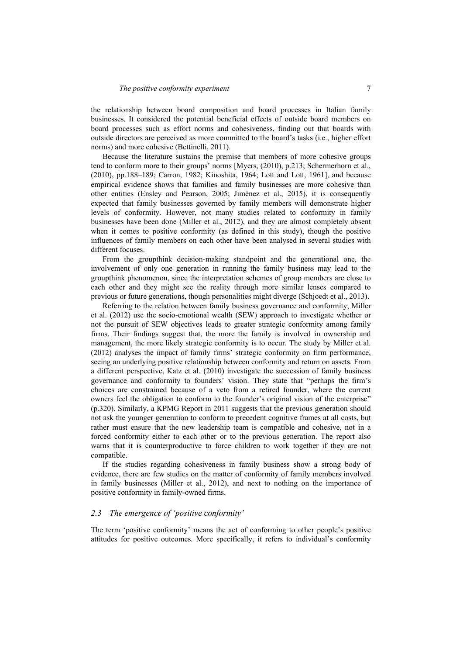the relationship between board composition and board processes in Italian family businesses. It considered the potential beneficial effects of outside board members on board processes such as effort norms and cohesiveness, finding out that boards with outside directors are perceived as more committed to the board's tasks (i.e., higher effort norms) and more cohesive (Bettinelli, 2011).

Because the literature sustains the premise that members of more cohesive groups tend to conform more to their groups' norms [Myers, (2010), p.213; Schermerhorn et al., (2010), pp.188–189; Carron, 1982; Kinoshita, 1964; Lott and Lott, 1961], and because empirical evidence shows that families and family businesses are more cohesive than other entities (Ensley and Pearson, 2005; Jiménez et al., 2015), it is consequently expected that family businesses governed by family members will demonstrate higher levels of conformity. However, not many studies related to conformity in family businesses have been done (Miller et al., 2012), and they are almost completely absent when it comes to positive conformity (as defined in this study), though the positive influences of family members on each other have been analysed in several studies with different focuses.

From the groupthink decision-making standpoint and the generational one, the involvement of only one generation in running the family business may lead to the groupthink phenomenon, since the interpretation schemes of group members are close to each other and they might see the reality through more similar lenses compared to previous or future generations, though personalities might diverge (Schjoedt et al., 2013).

Referring to the relation between family business governance and conformity, Miller et al. (2012) use the socio-emotional wealth (SEW) approach to investigate whether or not the pursuit of SEW objectives leads to greater strategic conformity among family firms. Their findings suggest that, the more the family is involved in ownership and management, the more likely strategic conformity is to occur. The study by Miller et al. (2012) analyses the impact of family firms' strategic conformity on firm performance, seeing an underlying positive relationship between conformity and return on assets. From a different perspective, Katz et al. (2010) investigate the succession of family business governance and conformity to founders' vision. They state that "perhaps the firm's choices are constrained because of a veto from a retired founder, where the current owners feel the obligation to conform to the founder's original vision of the enterprise" (p.320). Similarly, a KPMG Report in 2011 suggests that the previous generation should not ask the younger generation to conform to precedent cognitive frames at all costs, but rather must ensure that the new leadership team is compatible and cohesive, not in a forced conformity either to each other or to the previous generation. The report also warns that it is counterproductive to force children to work together if they are not compatible.

If the studies regarding cohesiveness in family business show a strong body of evidence, there are few studies on the matter of conformity of family members involved in family businesses (Miller et al., 2012), and next to nothing on the importance of positive conformity in family-owned firms.

### *2.3 The emergence of 'positive conformity'*

The term 'positive conformity' means the act of conforming to other people's positive attitudes for positive outcomes. More specifically, it refers to individual's conformity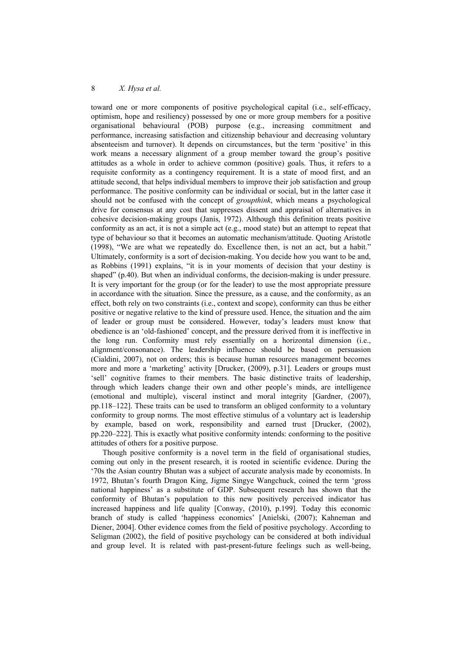toward one or more components of positive psychological capital (i.e., self-efficacy, optimism, hope and resiliency) possessed by one or more group members for a positive organisational behavioural (POB) purpose (e.g., increasing commitment and performance, increasing satisfaction and citizenship behaviour and decreasing voluntary absenteeism and turnover). It depends on circumstances, but the term 'positive' in this work means a necessary alignment of a group member toward the group's positive attitudes as a whole in order to achieve common (positive) goals. Thus, it refers to a requisite conformity as a contingency requirement. It is a state of mood first, and an attitude second, that helps individual members to improve their job satisfaction and group performance. The positive conformity can be individual or social, but in the latter case it should not be confused with the concept of *groupthink*, which means a psychological drive for consensus at any cost that suppresses dissent and appraisal of alternatives in cohesive decision-making groups (Janis, 1972). Although this definition treats positive conformity as an act, it is not a simple act (e.g., mood state) but an attempt to repeat that type of behaviour so that it becomes an automatic mechanism/attitude. Quoting Aristotle (1998), "We are what we repeatedly do. Excellence then, is not an act, but a habit." Ultimately, conformity is a sort of decision-making. You decide how you want to be and, as Robbins (1991) explains, "it is in your moments of decision that your destiny is shaped" (p.40). But when an individual conforms, the decision-making is under pressure. It is very important for the group (or for the leader) to use the most appropriate pressure in accordance with the situation. Since the pressure, as a cause, and the conformity, as an effect, both rely on two constraints (i.e., context and scope), conformity can thus be either positive or negative relative to the kind of pressure used. Hence, the situation and the aim of leader or group must be considered. However, today's leaders must know that obedience is an 'old-fashioned' concept, and the pressure derived from it is ineffective in the long run. Conformity must rely essentially on a horizontal dimension (i.e., alignment/consonance). The leadership influence should be based on persuasion (Cialdini, 2007), not on orders; this is because human resources management becomes more and more a 'marketing' activity [Drucker, (2009), p.31]. Leaders or groups must 'sell' cognitive frames to their members. The basic distinctive traits of leadership, through which leaders change their own and other people's minds, are intelligence (emotional and multiple), visceral instinct and moral integrity [Gardner, (2007), pp.118–122]. These traits can be used to transform an obliged conformity to a voluntary conformity to group norms. The most effective stimulus of a voluntary act is leadership by example, based on work, responsibility and earned trust [Drucker, (2002), pp.220–222]. This is exactly what positive conformity intends: conforming to the positive attitudes of others for a positive purpose.

Though positive conformity is a novel term in the field of organisational studies, coming out only in the present research, it is rooted in scientific evidence. During the '70s the Asian country Bhutan was a subject of accurate analysis made by economists. In 1972, Bhutan's fourth Dragon King, Jigme Singye Wangchuck, coined the term 'gross national happiness' as a substitute of GDP. Subsequent research has shown that the conformity of Bhutan's population to this new positively perceived indicator has increased happiness and life quality [Conway, (2010), p.199]. Today this economic branch of study is called 'happiness economics' [Anielski, (2007); Kahneman and Diener, 2004]. Other evidence comes from the field of positive psychology. According to Seligman (2002), the field of positive psychology can be considered at both individual and group level. It is related with past-present-future feelings such as well-being,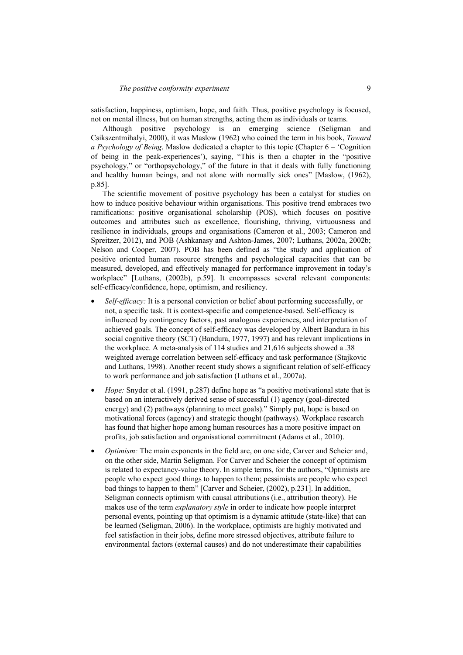satisfaction, happiness, optimism, hope, and faith. Thus, positive psychology is focused, not on mental illness, but on human strengths, acting them as individuals or teams.

Although positive psychology is an emerging science (Seligman and Csikszentmihalyi, 2000), it was Maslow (1962) who coined the term in his book, *Toward a Psychology of Being*. Maslow dedicated a chapter to this topic (Chapter 6 – 'Cognition of being in the peak-experiences'), saying, "This is then a chapter in the "positive psychology," or "orthopsychology," of the future in that it deals with fully functioning and healthy human beings, and not alone with normally sick ones" [Maslow, (1962), p.85].

The scientific movement of positive psychology has been a catalyst for studies on how to induce positive behaviour within organisations. This positive trend embraces two ramifications: positive organisational scholarship (POS), which focuses on positive outcomes and attributes such as excellence, flourishing, thriving, virtuousness and resilience in individuals, groups and organisations (Cameron et al., 2003; Cameron and Spreitzer, 2012), and POB (Ashkanasy and Ashton-James, 2007; Luthans, 2002a, 2002b; Nelson and Cooper, 2007). POB has been defined as "the study and application of positive oriented human resource strengths and psychological capacities that can be measured, developed, and effectively managed for performance improvement in today's workplace" [Luthans, (2002b), p.59]. It encompasses several relevant components: self-efficacy/confidence, hope, optimism, and resiliency.

- *Self-efficacy:* It is a personal conviction or belief about performing successfully, or not, a specific task. It is context-specific and competence-based. Self-efficacy is influenced by contingency factors, past analogous experiences, and interpretation of achieved goals. The concept of self-efficacy was developed by Albert Bandura in his social cognitive theory (SCT) (Bandura, 1977, 1997) and has relevant implications in the workplace. A meta-analysis of 114 studies and 21,616 subjects showed a .38 weighted average correlation between self-efficacy and task performance (Stajkovic and Luthans, 1998). Another recent study shows a significant relation of self-efficacy to work performance and job satisfaction (Luthans et al., 2007a).
- *Hope:* Snyder et al. (1991, p.287) define hope as "a positive motivational state that is based on an interactively derived sense of successful (1) agency (goal-directed energy) and (2) pathways (planning to meet goals)." Simply put, hope is based on motivational forces (agency) and strategic thought (pathways). Workplace research has found that higher hope among human resources has a more positive impact on profits, job satisfaction and organisational commitment (Adams et al., 2010).
- *Optimism:* The main exponents in the field are, on one side, Carver and Scheier and, on the other side, Martin Seligman. For Carver and Scheier the concept of optimism is related to expectancy-value theory. In simple terms, for the authors, "Optimists are people who expect good things to happen to them; pessimists are people who expect bad things to happen to them" [Carver and Scheier, (2002), p.231]. In addition, Seligman connects optimism with causal attributions (i.e., attribution theory). He makes use of the term *explanatory style* in order to indicate how people interpret personal events, pointing up that optimism is a dynamic attitude (state-like) that can be learned (Seligman, 2006). In the workplace, optimists are highly motivated and feel satisfaction in their jobs, define more stressed objectives, attribute failure to environmental factors (external causes) and do not underestimate their capabilities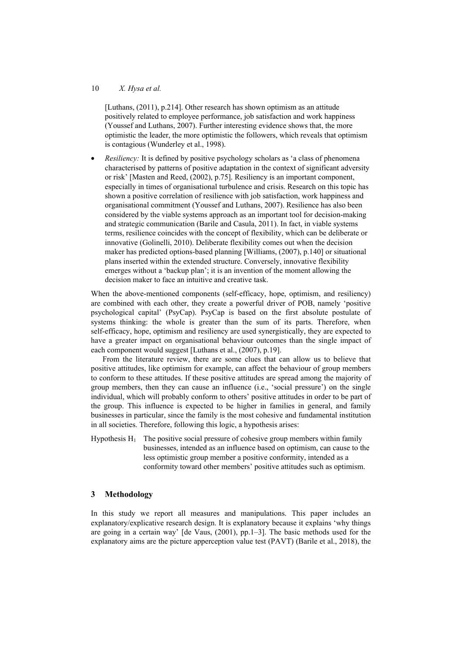### 10 *X. Hysa et al.*

[Luthans, (2011), p.214]. Other research has shown optimism as an attitude positively related to employee performance, job satisfaction and work happiness (Youssef and Luthans, 2007). Further interesting evidence shows that, the more optimistic the leader, the more optimistic the followers, which reveals that optimism is contagious (Wunderley et al., 1998).

*Resiliency:* It is defined by positive psychology scholars as 'a class of phenomena characterised by patterns of positive adaptation in the context of significant adversity or risk' [Masten and Reed, (2002), p.75]. Resiliency is an important component, especially in times of organisational turbulence and crisis. Research on this topic has shown a positive correlation of resilience with job satisfaction, work happiness and organisational commitment (Youssef and Luthans, 2007). Resilience has also been considered by the viable systems approach as an important tool for decision-making and strategic communication (Barile and Casula, 2011). In fact, in viable systems terms, resilience coincides with the concept of flexibility, which can be deliberate or innovative (Golinelli, 2010). Deliberate flexibility comes out when the decision maker has predicted options-based planning [Williams, (2007), p.140] or situational plans inserted within the extended structure. Conversely, innovative flexibility emerges without a 'backup plan'; it is an invention of the moment allowing the decision maker to face an intuitive and creative task.

When the above-mentioned components (self-efficacy, hope, optimism, and resiliency) are combined with each other, they create a powerful driver of POB, namely 'positive psychological capital' (PsyCap). PsyCap is based on the first absolute postulate of systems thinking: the whole is greater than the sum of its parts. Therefore, when self-efficacy, hope, optimism and resiliency are used synergistically, they are expected to have a greater impact on organisational behaviour outcomes than the single impact of each component would suggest [Luthans et al., (2007), p.19].

From the literature review, there are some clues that can allow us to believe that positive attitudes, like optimism for example, can affect the behaviour of group members to conform to these attitudes. If these positive attitudes are spread among the majority of group members, then they can cause an influence (i.e., 'social pressure') on the single individual, which will probably conform to others' positive attitudes in order to be part of the group. This influence is expected to be higher in families in general, and family businesses in particular, since the family is the most cohesive and fundamental institution in all societies. Therefore, following this logic, a hypothesis arises:

Hypothesis  $H_1$  The positive social pressure of cohesive group members within family businesses, intended as an influence based on optimism, can cause to the less optimistic group member a positive conformity, intended as a conformity toward other members' positive attitudes such as optimism.

# **3 Methodology**

In this study we report all measures and manipulations. This paper includes an explanatory/explicative research design. It is explanatory because it explains 'why things are going in a certain way' [de Vaus, (2001), pp.1–3]. The basic methods used for the explanatory aims are the picture apperception value test (PAVT) (Barile et al., 2018), the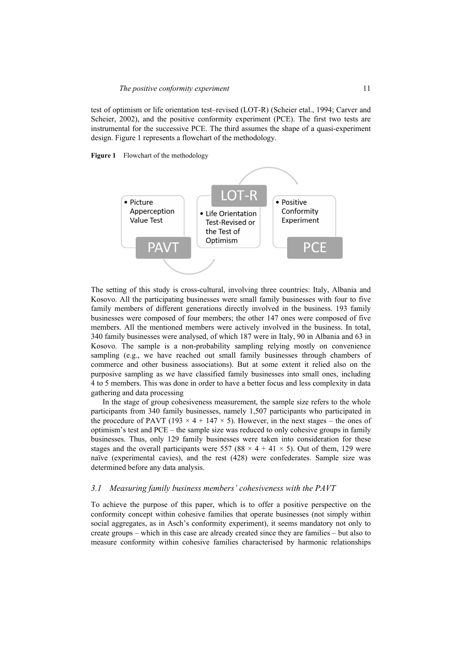test of optimism or life orientation test–revised (LOT-R) (Scheier etal., 1994; Carver and Scheier, 2002), and the positive conformity experiment (PCE). The first two tests are instrumental for the successive PCE. The third assumes the shape of a quasi-experiment design. Figure 1 represents a flowchart of the methodology.





The setting of this study is cross-cultural, involving three countries: Italy, Albania and Kosovo. All the participating businesses were small family businesses with four to five family members of different generations directly involved in the business. 193 family businesses were composed of four members; the other 147 ones were composed of five members. All the mentioned members were actively involved in the business. In total, 340 family businesses were analysed, of which 187 were in Italy, 90 in Albania and 63 in Kosovo. The sample is a non-probability sampling relying mostly on convenience sampling (e.g., we have reached out small family businesses through chambers of commerce and other business associations). But at some extent it relied also on the purposive sampling as we have classified family businesses into small ones, including 4 to 5 members. This was done in order to have a better focus and less complexity in data gathering and data processing

In the stage of group cohesiveness measurement, the sample size refers to the whole participants from 340 family businesses, namely 1,507 participants who participated in the procedure of PAVT (193  $\times$  4 + 147  $\times$  5). However, in the next stages – the ones of optimism's test and PCE – the sample size was reduced to only cohesive groups in family businesses. Thus, only 129 family businesses were taken into consideration for these stages and the overall participants were 557 (88  $\times$  4 + 41  $\times$  5). Out of them, 129 were naïve (experimental cavies), and the rest (428) were confederates. Sample size was determined before any data analysis.

#### *3.1 Measuring family business members' cohesiveness with the PAVT*

To achieve the purpose of this paper, which is to offer a positive perspective on the conformity concept within cohesive families that operate businesses (not simply within social aggregates, as in Asch's conformity experiment), it seems mandatory not only to create groups – which in this case are already created since they are families – but also to measure conformity within cohesive families characterised by harmonic relationships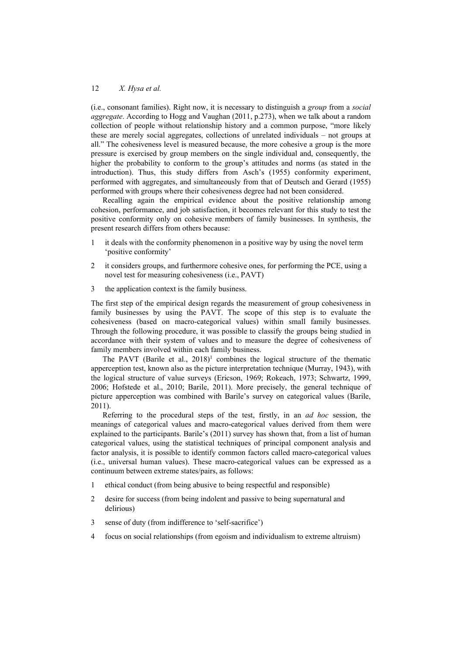(i.e., consonant families). Right now, it is necessary to distinguish a *group* from a *social aggregate*. According to Hogg and Vaughan (2011, p.273), when we talk about a random collection of people without relationship history and a common purpose, "more likely these are merely social aggregates, collections of unrelated individuals – not groups at all." The cohesiveness level is measured because, the more cohesive a group is the more pressure is exercised by group members on the single individual and, consequently, the higher the probability to conform to the group's attitudes and norms (as stated in the introduction). Thus, this study differs from Asch's (1955) conformity experiment, performed with aggregates, and simultaneously from that of Deutsch and Gerard (1955) performed with groups where their cohesiveness degree had not been considered.

Recalling again the empirical evidence about the positive relationship among cohesion, performance, and job satisfaction, it becomes relevant for this study to test the positive conformity only on cohesive members of family businesses. In synthesis, the present research differs from others because:

- 1 it deals with the conformity phenomenon in a positive way by using the novel term 'positive conformity'
- 2 it considers groups, and furthermore cohesive ones, for performing the PCE, using a novel test for measuring cohesiveness (i.e., PAVT)
- 3 the application context is the family business.

The first step of the empirical design regards the measurement of group cohesiveness in family businesses by using the PAVT. The scope of this step is to evaluate the cohesiveness (based on macro-categorical values) within small family businesses. Through the following procedure, it was possible to classify the groups being studied in accordance with their system of values and to measure the degree of cohesiveness of family members involved within each family business.

The PAVT (Barile et al.,  $2018$ )<sup>1</sup> combines the logical structure of the thematic apperception test, known also as the picture interpretation technique (Murray, 1943), with the logical structure of value surveys (Ericson, 1969; Rokeach, 1973; Schwartz, 1999, 2006; Hofstede et al., 2010; Barile, 2011). More precisely, the general technique of picture apperception was combined with Barile's survey on categorical values (Barile, 2011).

Referring to the procedural steps of the test, firstly, in an *ad hoc* session, the meanings of categorical values and macro-categorical values derived from them were explained to the participants. Barile's (2011) survey has shown that, from a list of human categorical values, using the statistical techniques of principal component analysis and factor analysis, it is possible to identify common factors called macro-categorical values (i.e., universal human values). These macro-categorical values can be expressed as a continuum between extreme states/pairs, as follows:

- 1 ethical conduct (from being abusive to being respectful and responsible)
- 2 desire for success (from being indolent and passive to being supernatural and delirious)
- 3 sense of duty (from indifference to 'self-sacrifice')
- 4 focus on social relationships (from egoism and individualism to extreme altruism)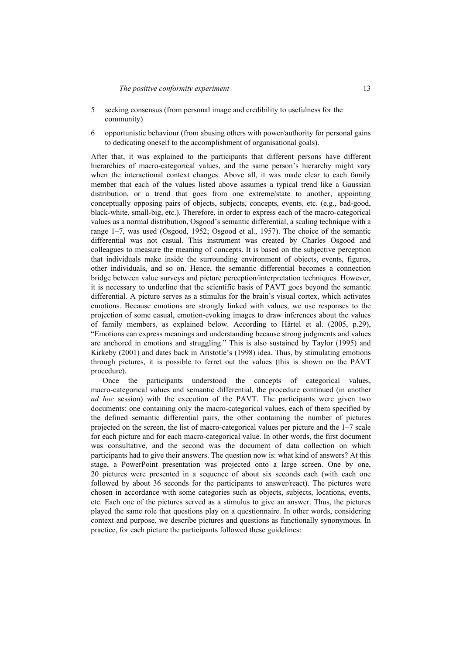- 5 seeking consensus (from personal image and credibility to usefulness for the community)
- 6 opportunistic behaviour (from abusing others with power/authority for personal gains to dedicating oneself to the accomplishment of organisational goals).

After that, it was explained to the participants that different persons have different hierarchies of macro-categorical values, and the same person's hierarchy might vary when the interactional context changes. Above all, it was made clear to each family member that each of the values listed above assumes a typical trend like a Gaussian distribution, or a trend that goes from one extreme/state to another, appointing conceptually opposing pairs of objects, subjects, concepts, events, etc. (e.g., bad-good, black-white, small-big, etc.). Therefore, in order to express each of the macro-categorical values as a normal distribution, Osgood's semantic differential, a scaling technique with a range 1–7, was used (Osgood, 1952; Osgood et al., 1957). The choice of the semantic differential was not casual. This instrument was created by Charles Osgood and colleagues to measure the meaning of concepts. It is based on the subjective perception that individuals make inside the surrounding environment of objects, events, figures, other individuals, and so on. Hence, the semantic differential becomes a connection bridge between value surveys and picture perception/interpretation techniques. However, it is necessary to underline that the scientific basis of PAVT goes beyond the semantic differential. A picture serves as a stimulus for the brain's visual cortex, which activates emotions. Because emotions are strongly linked with values, we use responses to the projection of some casual, emotion-evoking images to draw inferences about the values of family members, as explained below. According to Härtel et al. (2005, p.29), "Emotions can express meanings and understanding because strong judgments and values are anchored in emotions and struggling." This is also sustained by Taylor (1995) and Kirkeby (2001) and dates back in Aristotle's (1998) idea. Thus, by stimulating emotions through pictures, it is possible to ferret out the values (this is shown on the PAVT procedure).

Once the participants understood the concepts of categorical values, macro-categorical values and semantic differential, the procedure continued (in another *ad hoc* session) with the execution of the PAVT. The participants were given two documents: one containing only the macro-categorical values, each of them specified by the defined semantic differential pairs, the other containing the number of pictures projected on the screen, the list of macro-categorical values per picture and the 1–7 scale for each picture and for each macro-categorical value. In other words, the first document was consultative, and the second was the document of data collection on which participants had to give their answers. The question now is: what kind of answers? At this stage, a PowerPoint presentation was projected onto a large screen. One by one, 20 pictures were presented in a sequence of about six seconds each (with each one followed by about 36 seconds for the participants to answer/react). The pictures were chosen in accordance with some categories such as objects, subjects, locations, events, etc. Each one of the pictures served as a stimulus to give an answer. Thus, the pictures played the same role that questions play on a questionnaire. In other words, considering context and purpose, we describe pictures and questions as functionally synonymous. In practice, for each picture the participants followed these guidelines: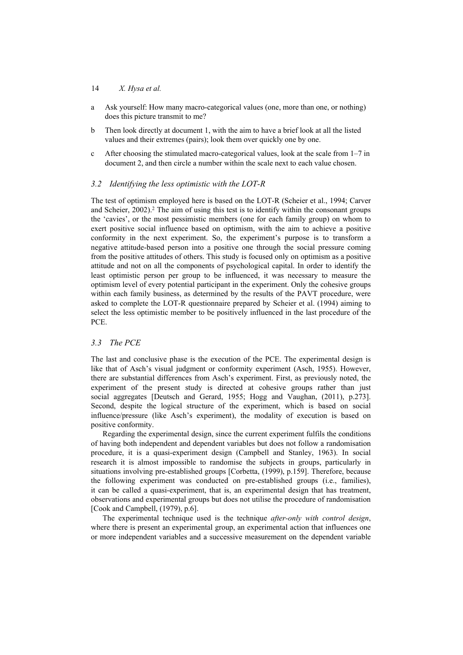- a Ask yourself: How many macro-categorical values (one, more than one, or nothing) does this picture transmit to me?
- b Then look directly at document 1, with the aim to have a brief look at all the listed values and their extremes (pairs); look them over quickly one by one.
- c After choosing the stimulated macro-categorical values, look at the scale from 1–7 in document 2, and then circle a number within the scale next to each value chosen.

# *3.2 Identifying the less optimistic with the LOT-R*

The test of optimism employed here is based on the LOT-R (Scheier et al., 1994; Carver and Scheier, 2002).<sup>2</sup> The aim of using this test is to identify within the consonant groups the 'cavies', or the most pessimistic members (one for each family group) on whom to exert positive social influence based on optimism, with the aim to achieve a positive conformity in the next experiment. So, the experiment's purpose is to transform a negative attitude-based person into a positive one through the social pressure coming from the positive attitudes of others. This study is focused only on optimism as a positive attitude and not on all the components of psychological capital. In order to identify the least optimistic person per group to be influenced, it was necessary to measure the optimism level of every potential participant in the experiment. Only the cohesive groups within each family business, as determined by the results of the PAVT procedure, were asked to complete the LOT-R questionnaire prepared by Scheier et al. (1994) aiming to select the less optimistic member to be positively influenced in the last procedure of the PCE.

# *3.3 The PCE*

The last and conclusive phase is the execution of the PCE. The experimental design is like that of Asch's visual judgment or conformity experiment (Asch, 1955). However, there are substantial differences from Asch's experiment. First, as previously noted, the experiment of the present study is directed at cohesive groups rather than just social aggregates [Deutsch and Gerard, 1955; Hogg and Vaughan, (2011), p.273]. Second, despite the logical structure of the experiment, which is based on social influence/pressure (like Asch's experiment), the modality of execution is based on positive conformity.

Regarding the experimental design, since the current experiment fulfils the conditions of having both independent and dependent variables but does not follow a randomisation procedure, it is a quasi-experiment design (Campbell and Stanley, 1963). In social research it is almost impossible to randomise the subjects in groups, particularly in situations involving pre-established groups [Corbetta, (1999), p.159]. Therefore, because the following experiment was conducted on pre-established groups (i.e., families), it can be called a quasi-experiment, that is, an experimental design that has treatment, observations and experimental groups but does not utilise the procedure of randomisation [Cook and Campbell, (1979), p.6].

The experimental technique used is the technique *after-only with control design*, where there is present an experimental group, an experimental action that influences one or more independent variables and a successive measurement on the dependent variable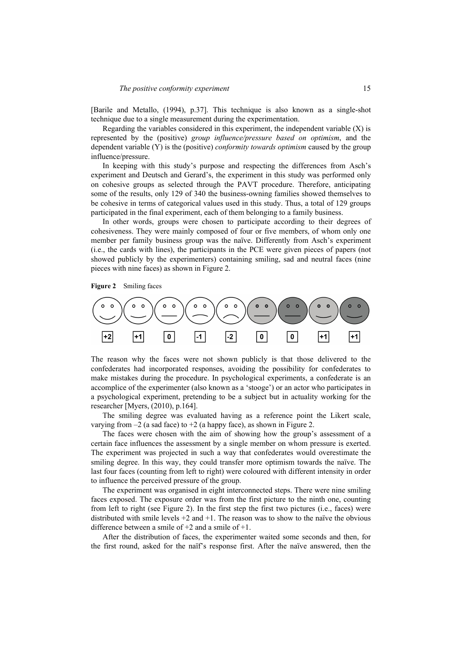[Barile and Metallo, (1994), p.37]. This technique is also known as a single-shot technique due to a single measurement during the experimentation.

Regarding the variables considered in this experiment, the independent variable  $(X)$  is represented by the (positive) *group influence/pressure based on optimism*, and the dependent variable (Y) is the (positive) *conformity towards optimism* caused by the group influence/pressure.

In keeping with this study's purpose and respecting the differences from Asch's experiment and Deutsch and Gerard's, the experiment in this study was performed only on cohesive groups as selected through the PAVT procedure. Therefore, anticipating some of the results, only 129 of 340 the business-owning families showed themselves to be cohesive in terms of categorical values used in this study. Thus, a total of 129 groups participated in the final experiment, each of them belonging to a family business.

In other words, groups were chosen to participate according to their degrees of cohesiveness. They were mainly composed of four or five members, of whom only one member per family business group was the naïve. Differently from Asch's experiment (i.e., the cards with lines), the participants in the PCE were given pieces of papers (not showed publicly by the experimenters) containing smiling, sad and neutral faces (nine pieces with nine faces) as shown in Figure 2.

**Figure 2** Smiling faces



The reason why the faces were not shown publicly is that those delivered to the confederates had incorporated responses, avoiding the possibility for confederates to make mistakes during the procedure. In psychological experiments, a confederate is an accomplice of the experimenter (also known as a 'stooge') or an actor who participates in a psychological experiment, pretending to be a subject but in actuality working for the researcher [Myers, (2010), p.164].

The smiling degree was evaluated having as a reference point the Likert scale, varying from  $-2$  (a sad face) to  $+2$  (a happy face), as shown in Figure 2.

The faces were chosen with the aim of showing how the group's assessment of a certain face influences the assessment by a single member on whom pressure is exerted. The experiment was projected in such a way that confederates would overestimate the smiling degree. In this way, they could transfer more optimism towards the naïve. The last four faces (counting from left to right) were coloured with different intensity in order to influence the perceived pressure of the group.

The experiment was organised in eight interconnected steps. There were nine smiling faces exposed. The exposure order was from the first picture to the ninth one, counting from left to right (see Figure 2). In the first step the first two pictures (i.e., faces) were distributed with smile levels  $+2$  and  $+1$ . The reason was to show to the naïve the obvious difference between a smile of  $+2$  and a smile of  $+1$ .

After the distribution of faces, the experimenter waited some seconds and then, for the first round, asked for the naïf's response first. After the naïve answered, then the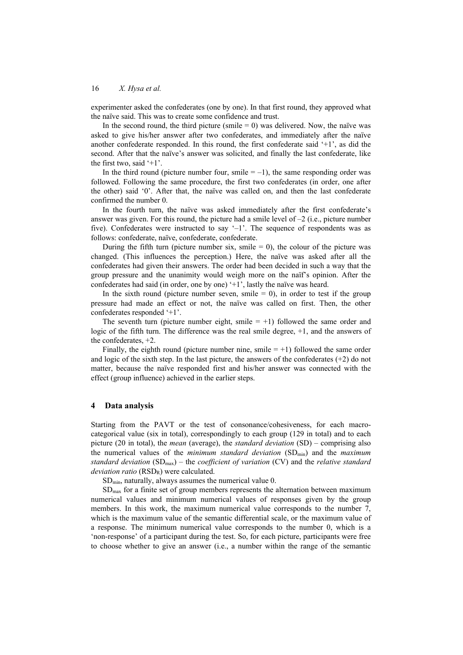experimenter asked the confederates (one by one). In that first round, they approved what the naïve said. This was to create some confidence and trust.

In the second round, the third picture (smile  $= 0$ ) was delivered. Now, the naïve was asked to give his/her answer after two confederates, and immediately after the naïve another confederate responded. In this round, the first confederate said '+1', as did the second. After that the naïve's answer was solicited, and finally the last confederate, like the first two, said  $+1$ .

In the third round (picture number four, smile  $= -1$ ), the same responding order was followed. Following the same procedure, the first two confederates (in order, one after the other) said '0'. After that, the naïve was called on, and then the last confederate confirmed the number 0.

In the fourth turn, the naïve was asked immediately after the first confederate's answer was given. For this round, the picture had a smile level of  $-2$  (i.e., picture number five). Confederates were instructed to say  $-1$ . The sequence of respondents was as follows: confederate, naïve, confederate, confederate.

During the fifth turn (picture number six, smile  $= 0$ ), the colour of the picture was changed. (This influences the perception.) Here, the naïve was asked after all the confederates had given their answers. The order had been decided in such a way that the group pressure and the unanimity would weigh more on the naïf's opinion. After the confederates had said (in order, one by one) '+1', lastly the naïve was heard.

In the sixth round (picture number seven, smile  $= 0$ ), in order to test if the group pressure had made an effect or not, the naïve was called on first. Then, the other confederates responded '+1'.

The seventh turn (picture number eight, smile  $= +1$ ) followed the same order and logic of the fifth turn. The difference was the real smile degree, +1, and the answers of the confederates, +2.

Finally, the eighth round (picture number nine, smile  $= +1$ ) followed the same order and logic of the sixth step. In the last picture, the answers of the confederates  $(+2)$  do not matter, because the naïve responded first and his/her answer was connected with the effect (group influence) achieved in the earlier steps.

### **4 Data analysis**

Starting from the PAVT or the test of consonance/cohesiveness, for each macrocategorical value (six in total), correspondingly to each group (129 in total) and to each picture (20 in total), the *mean* (average), the *standard deviation* (SD) – comprising also the numerical values of the *minimum standard deviation* (SDmin) and the *maximum standard deviation* (SDmax) – the *coefficient of variation* (CV) and the *relative standard deviation ratio* (RSD<sub>R</sub>) were calculated.

 $SD_{min}$ , naturally, always assumes the numerical value 0.

 $SD<sub>max</sub>$  for a finite set of group members represents the alternation between maximum numerical values and minimum numerical values of responses given by the group members. In this work, the maximum numerical value corresponds to the number 7, which is the maximum value of the semantic differential scale, or the maximum value of a response. The minimum numerical value corresponds to the number 0, which is a 'non-response' of a participant during the test. So, for each picture, participants were free to choose whether to give an answer (i.e., a number within the range of the semantic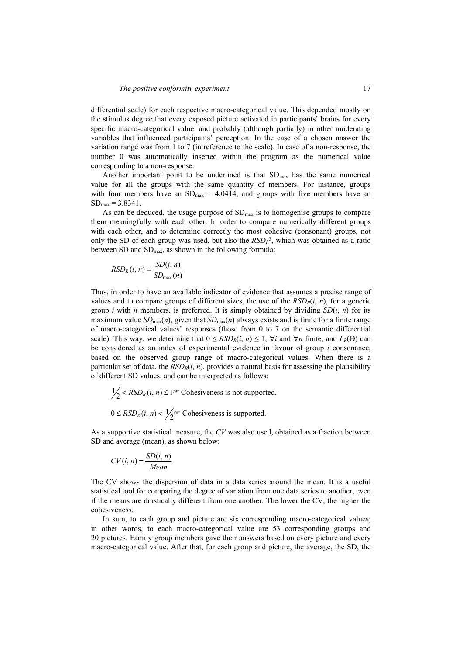differential scale) for each respective macro-categorical value. This depended mostly on the stimulus degree that every exposed picture activated in participants' brains for every specific macro-categorical value, and probably (although partially) in other moderating variables that influenced participants' perception. In the case of a chosen answer the variation range was from 1 to 7 (in reference to the scale). In case of a non-response, the number 0 was automatically inserted within the program as the numerical value corresponding to a non-response.

Another important point to be underlined is that  $SD<sub>max</sub>$  has the same numerical value for all the groups with the same quantity of members. For instance, groups with four members have an  $SD_{max} = 4.0414$ , and groups with five members have an  $SD_{max} = 3.8341$ .

As can be deduced, the usage purpose of  $SD<sub>max</sub>$  is to homogenise groups to compare them meaningfully with each other. In order to compare numerically different groups with each other, and to determine correctly the most cohesive (consonant) groups, not only the SD of each group was used, but also the  $RSD<sub>R</sub>$ <sup>3</sup>, which was obtained as a ratio between SD and SD<sub>max</sub>, as shown in the following formula:

$$
RSD_R(i, n) = \frac{SD(i, n)}{SD_{\text{max}}(n)}
$$

Thus, in order to have an available indicator of evidence that assumes a precise range of values and to compare groups of different sizes, the use of the  $RSD<sub>R</sub>(*i*, n)$ , for a generic group *i* with *n* members, is preferred. It is simply obtained by dividing  $SD(i, n)$  for its maximum value  $SD_{\text{max}}(n)$ , given that  $SD_{\text{max}}(n)$  always exists and is finite for a finite range of macro-categorical values' responses (those from 0 to 7 on the semantic differential scale). This way, we determine that  $0 \leq RSD_R(i, n) \leq 1$ ,  $\forall i$  and  $\forall n$  finite, and  $L_R(\Theta)$  can be considered as an index of experimental evidence in favour of group *i* consonance, based on the observed group range of macro-categorical values. When there is a particular set of data, the  $RSD_R(i, n)$ , provides a natural basis for assessing the plausibility of different SD values, and can be interpreted as follows:

$$
\frac{1}{2} < RSD_R(i, n) \le 1 \quad \text{Cohesiveness is not supported.}
$$
\n
$$
0 \le RSD_R(i, n) < \frac{1}{2} \quad \text{Cohesiveness is supported.}
$$

As a supportive statistical measure, the *CV* was also used, obtained as a fraction between SD and average (mean), as shown below:

$$
CV(i, n) = \frac{SD(i, n)}{Mean}
$$

The CV shows the dispersion of data in a data series around the mean. It is a useful statistical tool for comparing the degree of variation from one data series to another, even if the means are drastically different from one another. The lower the CV, the higher the cohesiveness.

In sum, to each group and picture are six corresponding macro-categorical values; in other words, to each macro-categorical value are 53 corresponding groups and 20 pictures. Family group members gave their answers based on every picture and every macro-categorical value. After that, for each group and picture, the average, the SD, the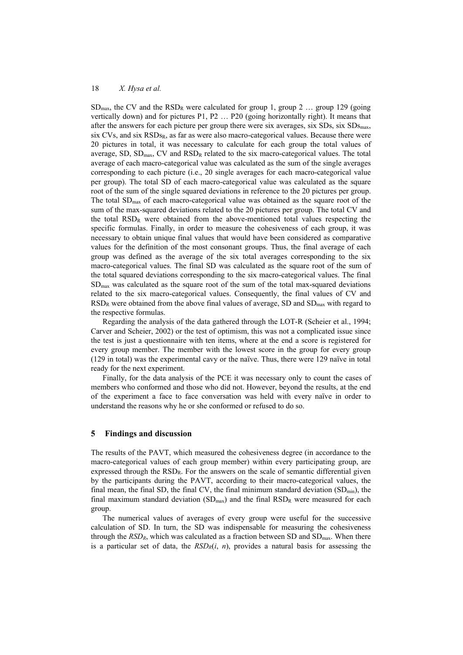$SD_{\text{max}}$ , the CV and the RSD<sub>R</sub> were calculated for group 1, group 2 ... group 129 (going vertically down) and for pictures P1, P2 … P20 (going horizontally right). It means that after the answers for each picture per group there were six averages, six  $SDs$ , six  $SDs$ <sub>max</sub>, six CVs, and six  $RSDs<sub>R</sub>$ , as far as were also macro-categorical values. Because there were 20 pictures in total, it was necessary to calculate for each group the total values of average, SD,  $SD<sub>max</sub>$ , CV and  $RSD<sub>R</sub>$  related to the six macro-categorical values. The total average of each macro-categorical value was calculated as the sum of the single averages corresponding to each picture (i.e., 20 single averages for each macro-categorical value per group). The total SD of each macro-categorical value was calculated as the square root of the sum of the single squared deviations in reference to the 20 pictures per group. The total  $SD_{max}$  of each macro-categorical value was obtained as the square root of the sum of the max-squared deviations related to the 20 pictures per group. The total CV and the total  $RSD<sub>R</sub>$  were obtained from the above-mentioned total values respecting the specific formulas. Finally, in order to measure the cohesiveness of each group, it was necessary to obtain unique final values that would have been considered as comparative values for the definition of the most consonant groups. Thus, the final average of each group was defined as the average of the six total averages corresponding to the six macro-categorical values. The final SD was calculated as the square root of the sum of the total squared deviations corresponding to the six macro-categorical values. The final  $SD<sub>max</sub>$  was calculated as the square root of the sum of the total max-squared deviations related to the six macro-categorical values. Consequently, the final values of CV and  $RSD<sub>R</sub>$  were obtained from the above final values of average, SD and  $SD<sub>max</sub>$  with regard to the respective formulas.

Regarding the analysis of the data gathered through the LOT-R (Scheier et al., 1994; Carver and Scheier, 2002) or the test of optimism, this was not a complicated issue since the test is just a questionnaire with ten items, where at the end a score is registered for every group member. The member with the lowest score in the group for every group (129 in total) was the experimental cavy or the naïve. Thus, there were 129 naïve in total ready for the next experiment.

Finally, for the data analysis of the PCE it was necessary only to count the cases of members who conformed and those who did not. However, beyond the results, at the end of the experiment a face to face conversation was held with every naïve in order to understand the reasons why he or she conformed or refused to do so.

### **5 Findings and discussion**

The results of the PAVT, which measured the cohesiveness degree (in accordance to the macro-categorical values of each group member) within every participating group, are expressed through the RSDR. For the answers on the scale of semantic differential given by the participants during the PAVT, according to their macro-categorical values, the final mean, the final SD, the final CV, the final minimum standard deviation  $(SD_{min})$ , the final maximum standard deviation  $(SD_{max})$  and the final  $RSD_R$  were measured for each group.

The numerical values of averages of every group were useful for the successive calculation of SD. In turn, the SD was indispensable for measuring the cohesiveness through the  $RSD_R$ , which was calculated as a fraction between SD and  $SD_{\text{max}}$ . When there is a particular set of data, the  $RSD<sub>R</sub>(i, n)$ , provides a natural basis for assessing the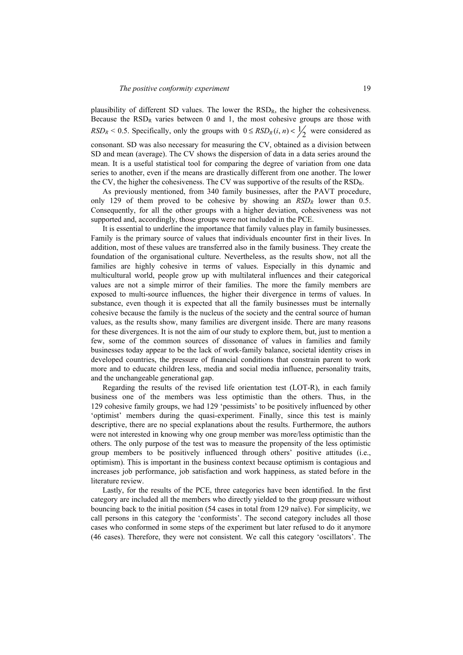plausibility of different SD values. The lower the RSDR, the higher the cohesiveness. Because the  $RSD<sub>R</sub>$  varies between 0 and 1, the most cohesive groups are those with  $RSD_R < 0.5$ . Specifically, only the groups with  $0 \leq RSD_R(i, n) < \frac{1}{2}$  were considered as consonant. SD was also necessary for measuring the CV, obtained as a division between SD and mean (average). The CV shows the dispersion of data in a data series around the mean. It is a useful statistical tool for comparing the degree of variation from one data series to another, even if the means are drastically different from one another. The lower the CV, the higher the cohesiveness. The CV was supportive of the results of the RSDR.

As previously mentioned, from 340 family businesses, after the PAVT procedure, only 129 of them proved to be cohesive by showing an  $RSD<sub>R</sub>$  lower than 0.5. Consequently, for all the other groups with a higher deviation, cohesiveness was not supported and, accordingly, those groups were not included in the PCE.

It is essential to underline the importance that family values play in family businesses. Family is the primary source of values that individuals encounter first in their lives. In addition, most of these values are transferred also in the family business. They create the foundation of the organisational culture. Nevertheless, as the results show, not all the families are highly cohesive in terms of values. Especially in this dynamic and multicultural world, people grow up with multilateral influences and their categorical values are not a simple mirror of their families. The more the family members are exposed to multi-source influences, the higher their divergence in terms of values. In substance, even though it is expected that all the family businesses must be internally cohesive because the family is the nucleus of the society and the central source of human values, as the results show, many families are divergent inside. There are many reasons for these divergences. It is not the aim of our study to explore them, but, just to mention a few, some of the common sources of dissonance of values in families and family businesses today appear to be the lack of work-family balance, societal identity crises in developed countries, the pressure of financial conditions that constrain parent to work more and to educate children less, media and social media influence, personality traits, and the unchangeable generational gap.

Regarding the results of the revised life orientation test (LOT-R), in each family business one of the members was less optimistic than the others. Thus, in the 129 cohesive family groups, we had 129 'pessimists' to be positively influenced by other 'optimist' members during the quasi-experiment. Finally, since this test is mainly descriptive, there are no special explanations about the results. Furthermore, the authors were not interested in knowing why one group member was more/less optimistic than the others. The only purpose of the test was to measure the propensity of the less optimistic group members to be positively influenced through others' positive attitudes (i.e., optimism). This is important in the business context because optimism is contagious and increases job performance, job satisfaction and work happiness, as stated before in the literature review.

Lastly, for the results of the PCE, three categories have been identified. In the first category are included all the members who directly yielded to the group pressure without bouncing back to the initial position (54 cases in total from 129 naïve). For simplicity, we call persons in this category the 'conformists'. The second category includes all those cases who conformed in some steps of the experiment but later refused to do it anymore (46 cases). Therefore, they were not consistent. We call this category 'oscillators'. The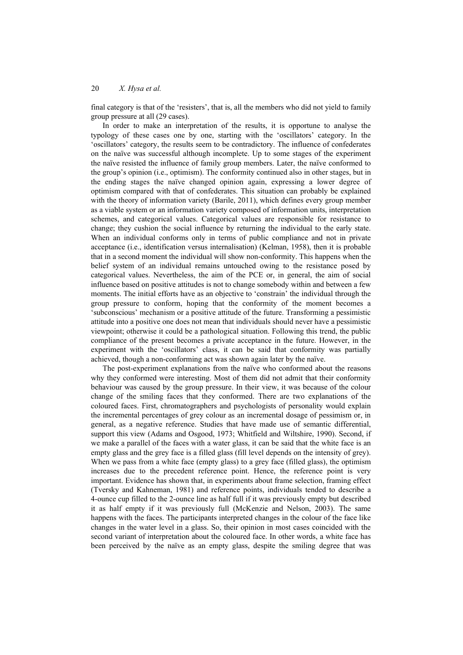final category is that of the 'resisters', that is, all the members who did not yield to family group pressure at all (29 cases).

In order to make an interpretation of the results, it is opportune to analyse the typology of these cases one by one, starting with the 'oscillators' category. In the 'oscillators' category, the results seem to be contradictory. The influence of confederates on the naïve was successful although incomplete. Up to some stages of the experiment the naïve resisted the influence of family group members. Later, the naïve conformed to the group's opinion (i.e., optimism). The conformity continued also in other stages, but in the ending stages the naïve changed opinion again, expressing a lower degree of optimism compared with that of confederates. This situation can probably be explained with the theory of information variety (Barile, 2011), which defines every group member as a viable system or an information variety composed of information units, interpretation schemes, and categorical values. Categorical values are responsible for resistance to change; they cushion the social influence by returning the individual to the early state. When an individual conforms only in terms of public compliance and not in private acceptance (i.e., identification versus internalisation) (Kelman, 1958), then it is probable that in a second moment the individual will show non-conformity. This happens when the belief system of an individual remains untouched owing to the resistance posed by categorical values. Nevertheless, the aim of the PCE or, in general, the aim of social influence based on positive attitudes is not to change somebody within and between a few moments. The initial efforts have as an objective to 'constrain' the individual through the group pressure to conform, hoping that the conformity of the moment becomes a 'subconscious' mechanism or a positive attitude of the future. Transforming a pessimistic attitude into a positive one does not mean that individuals should never have a pessimistic viewpoint; otherwise it could be a pathological situation. Following this trend, the public compliance of the present becomes a private acceptance in the future. However, in the experiment with the 'oscillators' class, it can be said that conformity was partially achieved, though a non-conforming act was shown again later by the naïve.

The post-experiment explanations from the naïve who conformed about the reasons why they conformed were interesting. Most of them did not admit that their conformity behaviour was caused by the group pressure. In their view, it was because of the colour change of the smiling faces that they conformed. There are two explanations of the coloured faces. First, chromatographers and psychologists of personality would explain the incremental percentages of grey colour as an incremental dosage of pessimism or, in general, as a negative reference. Studies that have made use of semantic differential, support this view (Adams and Osgood, 1973; Whitfield and Wiltshire, 1990). Second, if we make a parallel of the faces with a water glass, it can be said that the white face is an empty glass and the grey face is a filled glass (fill level depends on the intensity of grey). When we pass from a white face (empty glass) to a grey face (filled glass), the optimism increases due to the precedent reference point. Hence, the reference point is very important. Evidence has shown that, in experiments about frame selection, framing effect (Tversky and Kahneman, 1981) and reference points, individuals tended to describe a 4-ounce cup filled to the 2-ounce line as half full if it was previously empty but described it as half empty if it was previously full (McKenzie and Nelson, 2003). The same happens with the faces. The participants interpreted changes in the colour of the face like changes in the water level in a glass. So, their opinion in most cases coincided with the second variant of interpretation about the coloured face. In other words, a white face has been perceived by the naïve as an empty glass, despite the smiling degree that was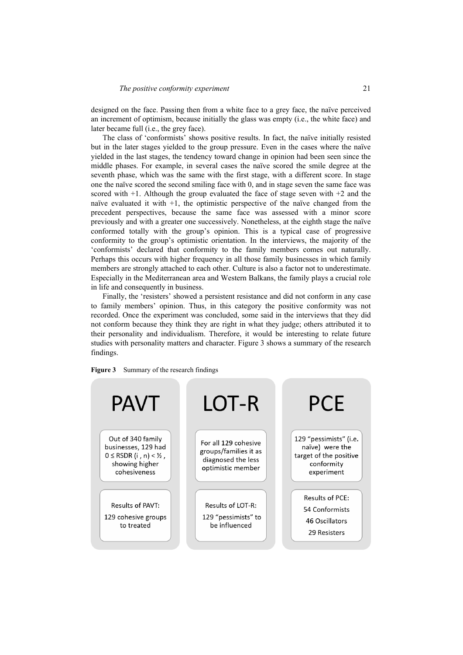designed on the face. Passing then from a white face to a grey face, the naïve perceived an increment of optimism, because initially the glass was empty (i.e., the white face) and later became full (i.e., the grey face).

The class of 'conformists' shows positive results. In fact, the naïve initially resisted but in the later stages yielded to the group pressure. Even in the cases where the naïve yielded in the last stages, the tendency toward change in opinion had been seen since the middle phases. For example, in several cases the naïve scored the smile degree at the seventh phase, which was the same with the first stage, with a different score. In stage one the naïve scored the second smiling face with 0, and in stage seven the same face was scored with  $+1$ . Although the group evaluated the face of stage seven with  $+2$  and the naïve evaluated it with +1, the optimistic perspective of the naïve changed from the precedent perspectives, because the same face was assessed with a minor score previously and with a greater one successively. Nonetheless, at the eighth stage the naïve conformed totally with the group's opinion. This is a typical case of progressive conformity to the group's optimistic orientation. In the interviews, the majority of the 'conformists' declared that conformity to the family members comes out naturally. Perhaps this occurs with higher frequency in all those family businesses in which family members are strongly attached to each other. Culture is also a factor not to underestimate. Especially in the Mediterranean area and Western Balkans, the family plays a crucial role in life and consequently in business.

Finally, the 'resisters' showed a persistent resistance and did not conform in any case to family members' opinion. Thus, in this category the positive conformity was not recorded. Once the experiment was concluded, some said in the interviews that they did not conform because they think they are right in what they judge; others attributed it to their personality and individualism. Therefore, it would be interesting to relate future studies with personality matters and character. Figure 3 shows a summary of the research findings.

| <b>Figure 3</b> |  | Summary of the research findings |
|-----------------|--|----------------------------------|
|                 |  |                                  |

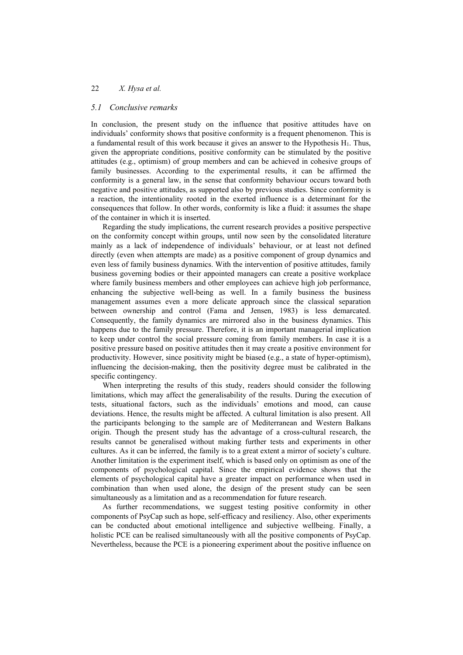### *5.1 Conclusive remarks*

In conclusion, the present study on the influence that positive attitudes have on individuals' conformity shows that positive conformity is a frequent phenomenon. This is a fundamental result of this work because it gives an answer to the Hypothesis  $H_1$ . Thus, given the appropriate conditions, positive conformity can be stimulated by the positive attitudes (e.g., optimism) of group members and can be achieved in cohesive groups of family businesses. According to the experimental results, it can be affirmed the conformity is a general law, in the sense that conformity behaviour occurs toward both negative and positive attitudes, as supported also by previous studies. Since conformity is a reaction, the intentionality rooted in the exerted influence is a determinant for the consequences that follow. In other words, conformity is like a fluid: it assumes the shape of the container in which it is inserted.

Regarding the study implications, the current research provides a positive perspective on the conformity concept within groups, until now seen by the consolidated literature mainly as a lack of independence of individuals' behaviour, or at least not defined directly (even when attempts are made) as a positive component of group dynamics and even less of family business dynamics. With the intervention of positive attitudes, family business governing bodies or their appointed managers can create a positive workplace where family business members and other employees can achieve high job performance, enhancing the subjective well-being as well. In a family business the business management assumes even a more delicate approach since the classical separation between ownership and control (Fama and Jensen, 1983) is less demarcated. Consequently, the family dynamics are mirrored also in the business dynamics. This happens due to the family pressure. Therefore, it is an important managerial implication to keep under control the social pressure coming from family members. In case it is a positive pressure based on positive attitudes then it may create a positive environment for productivity. However, since positivity might be biased (e.g., a state of hyper-optimism), influencing the decision-making, then the positivity degree must be calibrated in the specific contingency.

When interpreting the results of this study, readers should consider the following limitations, which may affect the generalisability of the results. During the execution of tests, situational factors, such as the individuals' emotions and mood, can cause deviations. Hence, the results might be affected. A cultural limitation is also present. All the participants belonging to the sample are of Mediterranean and Western Balkans origin. Though the present study has the advantage of a cross-cultural research, the results cannot be generalised without making further tests and experiments in other cultures. As it can be inferred, the family is to a great extent a mirror of society's culture. Another limitation is the experiment itself, which is based only on optimism as one of the components of psychological capital. Since the empirical evidence shows that the elements of psychological capital have a greater impact on performance when used in combination than when used alone, the design of the present study can be seen simultaneously as a limitation and as a recommendation for future research.

As further recommendations, we suggest testing positive conformity in other components of PsyCap such as hope, self-efficacy and resiliency. Also, other experiments can be conducted about emotional intelligence and subjective wellbeing. Finally, a holistic PCE can be realised simultaneously with all the positive components of PsyCap. Nevertheless, because the PCE is a pioneering experiment about the positive influence on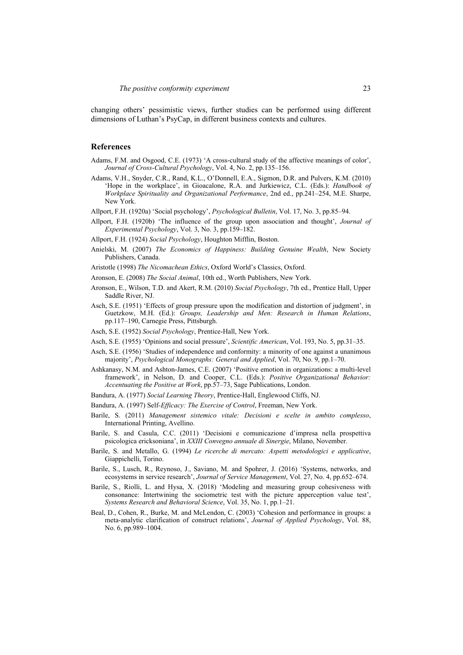changing others' pessimistic views, further studies can be performed using different dimensions of Luthan's PsyCap, in different business contexts and cultures.

### **References**

- Adams, F.M. and Osgood, C.E. (1973) 'A cross-cultural study of the affective meanings of color', *Journal of Cross-Cultural Psychology*, Vol. 4, No. 2, pp.135–156.
- Adams, V.H., Snyder, C.R., Rand, K.L., O'Donnell, E.A., Sigmon, D.R. and Pulvers, K.M. (2010) 'Hope in the workplace', in Gioacalone, R.A. and Jurkiewicz, C.L. (Eds.): *Handbook of Workplace Spirituality and Organizational Performance*, 2nd ed., pp.241–254, M.E. Sharpe, New York.
- Allport, F.H. (1920a) 'Social psychology', *Psychological Bulletin*, Vol. 17, No. 3, pp.85–94.
- Allport, F.H. (1920b) 'The influence of the group upon association and thought', *Journal of Experimental Psychology*, Vol. 3, No. 3, pp.159–182.
- Allport, F.H. (1924) *Social Psychology*, Houghton Mifflin, Boston.
- Anielski, M. (2007) *The Economics of Happiness: Building Genuine Wealth*, New Society Publishers, Canada.
- Aristotle (1998) *The Nicomachean Ethics*, Oxford World's Classics, Oxford.
- Aronson, E. (2008) *The Social Animal*, 10th ed., Worth Publishers, New York.
- Aronson, E., Wilson, T.D. and Akert, R.M. (2010) *Social Psychology*, 7th ed., Prentice Hall, Upper Saddle River, NJ.
- Asch, S.E. (1951) 'Effects of group pressure upon the modification and distortion of judgment', in Guetzkow, M.H. (Ed.): *Groups, Leadership and Men: Research in Human Relations*, pp.117–190, Carnegie Press, Pittsburgh.
- Asch, S.E. (1952) *Social Psychology*, Prentice-Hall, New York.
- Asch, S.E. (1955) 'Opinions and social pressure', *Scientific American*, Vol. 193, No. 5, pp.31–35.
- Asch, S.E. (1956) 'Studies of independence and conformity: a minority of one against a unanimous majority', *Psychological Monographs: General and Applied*, Vol. 70, No. 9, pp.1–70.
- Ashkanasy, N.M. and Ashton-James, C.E. (2007) 'Positive emotion in organizations: a multi-level framework', in Nelson, D. and Cooper, C.L. (Eds.): *Positive Organizational Behavior: Accentuating the Positive at Work*, pp.57–73, Sage Publications, London.
- Bandura, A. (1977) *Social Learning Theory*, Prentice-Hall, Englewood Cliffs, NJ.
- Bandura, A. (1997) Self*-Efficacy: The Exercise of Control*, Freeman, New York.
- Barile, S. (2011) *Management sistemico vitale: Decisioni e scelte in ambito complesso*, International Printing, Avellino.
- Barile, S. and Casula, C.C. (2011) 'Decisioni e comunicazione d'impresa nella prospettiva psicologica ericksoniana', in *XXIII Convegno annuale di Sinergie*, Milano, November.
- Barile, S. and Metallo, G. (1994) *Le ricerche di mercato: Aspetti metodologici e applicative*, Giappichelli, Torino.
- Barile, S., Lusch, R., Reynoso, J., Saviano, M. and Spohrer, J. (2016) 'Systems, networks, and ecosystems in service research', *Journal of Service Management*, Vol. 27, No. 4, pp.652–674.
- Barile, S., Riolli, L. and Hysa, X. (2018) 'Modeling and measuring group cohesiveness with consonance: Intertwining the sociometric test with the picture apperception value test', *Systems Research and Behavioral Science*, Vol. 35, No. 1, pp.1–21.
- Beal, D., Cohen, R., Burke, M. and McLendon, C. (2003) 'Cohesion and performance in groups: a meta-analytic clarification of construct relations', *Journal of Applied Psychology*, Vol. 88, No. 6, pp.989–1004.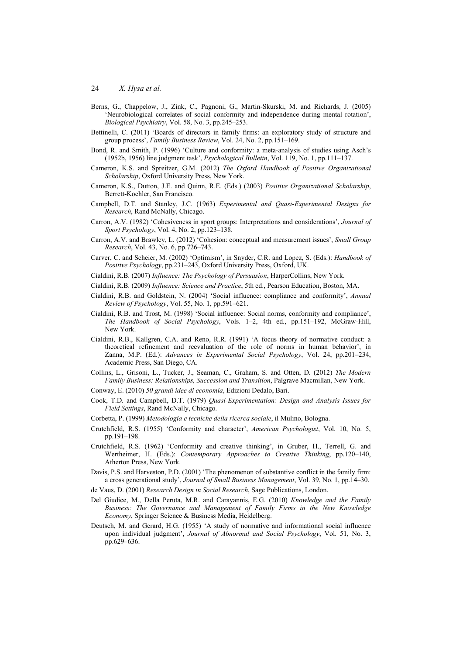- Berns, G., Chappelow, J., Zink, C., Pagnoni, G., Martin-Skurski, M. and Richards, J. (2005) 'Neurobiological correlates of social conformity and independence during mental rotation', *Biological Psychiatry*, Vol. 58, No. 3, pp.245–253.
- Bettinelli, C. (2011) 'Boards of directors in family firms: an exploratory study of structure and group process', *Family Business Review*, Vol. 24, No. 2, pp.151–169.
- Bond, R. and Smith, P. (1996) 'Culture and conformity: a meta-analysis of studies using Asch's (1952b, 1956) line judgment task', *Psychological Bulletin*, Vol. 119, No. 1, pp.111–137.
- Cameron, K.S. and Spreitzer, G.M. (2012) *The Oxford Handbook of Positive Organizational Scholarship*, Oxford University Press, New York.
- Cameron, K.S., Dutton, J.E. and Quinn, R.E. (Eds.) (2003) *Positive Organizational Scholarship*, Berrett-Koehler, San Francisco.
- Campbell, D.T. and Stanley, J.C. (1963) *Experimental and Quasi-Experimental Designs for Research*, Rand McNally, Chicago.
- Carron, A.V. (1982) 'Cohesiveness in sport groups: Interpretations and considerations', *Journal of Sport Psychology*, Vol. 4, No. 2, pp.123–138.
- Carron, A.V. and Brawley, L. (2012) 'Cohesion: conceptual and measurement issues', *Small Group Research*, Vol. 43, No. 6, pp.726–743.
- Carver, C. and Scheier, M. (2002) 'Optimism', in Snyder, C.R. and Lopez, S. (Eds.): *Handbook of Positive Psychology*, pp.231–243, Oxford University Press, Oxford, UK.
- Cialdini, R.B. (2007) *Influence: The Psychology of Persuasion*, HarperCollins, New York.
- Cialdini, R.B. (2009) *Influence: Science and Practice*, 5th ed., Pearson Education, Boston, MA.
- Cialdini, R.B. and Goldstein, N. (2004) 'Social influence: compliance and conformity', *Annual Review of Psychology*, Vol. 55, No. 1, pp.591–621.
- Cialdini, R.B. and Trost, M. (1998) 'Social influence: Social norms, conformity and compliance', *The Handbook of Social Psychology*, Vols. 1–2, 4th ed., pp.151–192, McGraw-Hill, New York.
- Cialdini, R.B., Kallgren, C.A. and Reno, R.R. (1991) 'A focus theory of normative conduct: a theoretical refinement and reevaluation of the role of norms in human behavior', in Zanna, M.P. (Ed.): *Advances in Experimental Social Psychology*, Vol. 24, pp.201–234, Academic Press, San Diego, CA.
- Collins, L., Grisoni, L., Tucker, J., Seaman, C., Graham, S. and Otten, D. (2012) *The Modern Family Business: Relationships, Succession and Transition*, Palgrave Macmillan, New York.
- Conway, E. (2010) *50 grandi idee di economia*, Edizioni Dedalo, Bari.
- Cook, T.D. and Campbell, D.T. (1979) *Quasi-Experimentation: Design and Analysis Issues for Field Settings*, Rand McNally, Chicago.
- Corbetta, P. (1999) *Metodologia e tecniche della ricerca sociale*, il Mulino, Bologna.
- Crutchfield, R.S. (1955) 'Conformity and character', *American Psychologist*, Vol. 10, No. 5, pp.191–198.
- Crutchfield, R.S. (1962) 'Conformity and creative thinking', in Gruber, H., Terrell, G. and Wertheimer, H. (Eds.): *Contemporary Approaches to Creative Thinking*, pp.120–140, Atherton Press, New York.
- Davis, P.S. and Harveston, P.D. (2001) 'The phenomenon of substantive conflict in the family firm: a cross generational study', *Journal of Small Business Management*, Vol. 39, No. 1, pp.14–30.
- de Vaus, D. (2001) *Research Design in Social Research*, Sage Publications, London.
- Del Giudice, M., Della Peruta, M.R. and Carayannis, E.G. (2010) *Knowledge and the Family Business: The Governance and Management of Family Firms in the New Knowledge Economy*, Springer Science & Business Media, Heidelberg.
- Deutsch, M. and Gerard, H.G. (1955) 'A study of normative and informational social influence upon individual judgment', *Journal of Abnormal and Social Psychology*, Vol. 51, No. 3, pp.629–636.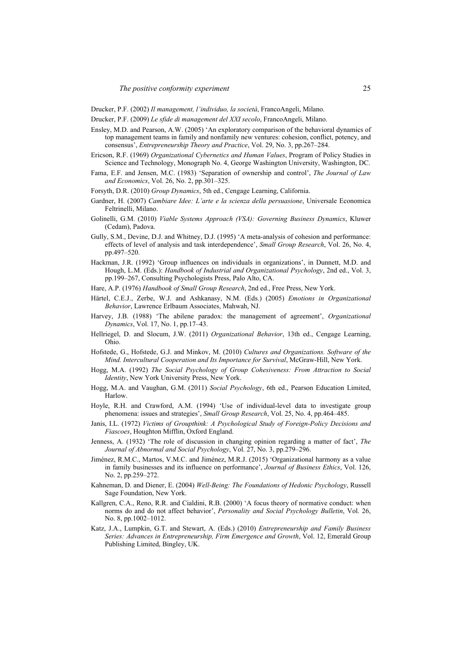Drucker, P.F. (2002) *Il management, l'individuo, la società*, FrancoAngeli, Milano.

- Drucker, P.F. (2009) *Le sfide di management del XXI secolo*, FrancoAngeli, Milano.
- Ensley, M.D. and Pearson, A.W. (2005) 'An exploratory comparison of the behavioral dynamics of top management teams in family and nonfamily new ventures: cohesion, conflict, potency, and consensus', *Entrepreneurship Theory and Practice*, Vol. 29, No. 3, pp.267–284.
- Ericson, R.F. (1969) *Organizational Cybernetics and Human Values*, Program of Policy Studies in Science and Technology, Monograph No. 4, George Washington University, Washington, DC.
- Fama, E.F. and Jensen, M.C. (1983) 'Separation of ownership and control', *The Journal of Law and Economics*, Vol. 26, No. 2, pp.301–325.
- Forsyth, D.R. (2010) *Group Dynamics*, 5th ed., Cengage Learning, California.
- Gardner, H. (2007) *Cambiare Idee: L'arte e la scienza della persuasione*, Universale Economica Feltrinelli, Milano.
- Golinelli, G.M. (2010) *Viable Systems Approach (VSA): Governing Business Dynamics*, Kluwer (Cedam), Padova.
- Gully, S.M., Devine, D.J. and Whitney, D.J. (1995) 'A meta-analysis of cohesion and performance: effects of level of analysis and task interdependence', *Small Group Research*, Vol. 26, No. 4, pp.497–520.
- Hackman, J.R. (1992) 'Group influences on individuals in organizations', in Dunnett, M.D. and Hough, L.M. (Eds.): *Handbook of Industrial and Organizational Psychology*, 2nd ed., Vol. 3, pp.199–267, Consulting Psychologists Press, Palo Alto, CA.
- Hare, A.P. (1976) *Handbook of Small Group Research*, 2nd ed., Free Press, New York.
- Härtel, C.E.J., Zerbe, W.J. and Ashkanasy, N.M. (Eds.) (2005) *Emotions in Organizational Behavior*, Lawrence Erlbaum Associates, Mahwah, NJ.
- Harvey, J.B. (1988) 'The abilene paradox: the management of agreement', *Organizational Dynamics*, Vol. 17, No. 1, pp.17–43.
- Hellriegel, D. and Slocum, J.W. (2011) *Organizational Behavior*, 13th ed., Cengage Learning, Ohio.
- Hofstede, G., Hofstede, G.J. and Minkov, M. (2010) *Cultures and Organizations. Software of the Mind. Intercultural Cooperation and Its Importance for Survival*, McGraw-Hill, New York.
- Hogg, M.A. (1992) *The Social Psychology of Group Cohesiveness: From Attraction to Social Identity*, New York University Press, New York.
- Hogg, M.A. and Vaughan, G.M. (2011) *Social Psychology*, 6th ed., Pearson Education Limited, Harlow.
- Hoyle, R.H. and Crawford, A.M. (1994) 'Use of individual-level data to investigate group phenomena: issues and strategies', *Small Group Research*, Vol. 25, No. 4, pp.464–485.
- Janis, I.L. (1972) *Victims of Groupthink: A Psychological Study of Foreign-Policy Decisions and Fiascoes*, Houghton Mifflin, Oxford England.
- Jenness, A. (1932) 'The role of discussion in changing opinion regarding a matter of fact', *The Journal of Abnormal and Social Psychology*, Vol. 27, No. 3, pp.279–296.
- Jiménez, R.M.C., Martos, V.M.C. and Jiménez, M.R.J. (2015) 'Organizational harmony as a value in family businesses and its influence on performance', *Journal of Business Ethics*, Vol. 126, No. 2, pp.259–272.
- Kahneman, D. and Diener, E. (2004) *Well-Being: The Foundations of Hedonic Psychology*, Russell Sage Foundation, New York.
- Kallgren, C.A., Reno, R.R. and Cialdini, R.B. (2000) 'A focus theory of normative conduct: when norms do and do not affect behavior', *Personality and Social Psychology Bulletin*, Vol. 26, No. 8, pp.1002–1012.
- Katz, J.A., Lumpkin, G.T. and Stewart, A. (Eds.) (2010) *Entrepreneurship and Family Business Series: Advances in Entrepreneurship, Firm Emergence and Growth*, Vol. 12, Emerald Group Publishing Limited, Bingley, UK.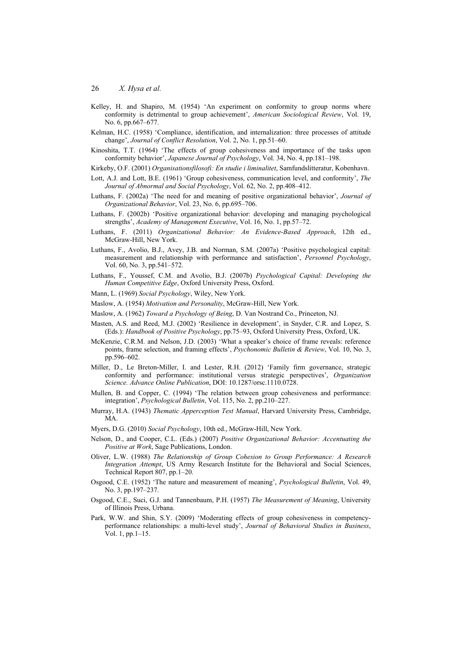- Kelley, H. and Shapiro, M. (1954) 'An experiment on conformity to group norms where conformity is detrimental to group achievement', *American Sociological Review*, Vol. 19, No. 6, pp.667–677.
- Kelman, H.C. (1958) 'Compliance, identification, and internalization: three processes of attitude change', *Journal of Conflict Resolution*, Vol. 2, No. 1, pp.51–60.
- Kinoshita, T.T. (1964) 'The effects of group cohesiveness and importance of the tasks upon conformity behavior', *Japanese Journal of Psychology*, Vol. 34, No. 4, pp.181–198.
- Kirkeby, O.F. (2001) *Organisationsfilosofi: En studie i liminalitet*, Samfundslitteratur, Kobenhavn.
- Lott, A.J. and Lott, B.E. (1961) 'Group cohesiveness, communication level, and conformity', *The Journal of Abnormal and Social Psychology*, Vol. 62, No. 2, pp.408–412.
- Luthans, F. (2002a) 'The need for and meaning of positive organizational behavior', *Journal of Organizational Behavior*, Vol. 23, No. 6, pp.695–706.
- Luthans, F. (2002b) 'Positive organizational behavior: developing and managing psychological strengths', *Academy of Management Executive*, Vol. 16, No. 1, pp.57–72.
- Luthans, F. (2011) *Organizational Behavior: An Evidence-Based Approach*, 12th ed., McGraw-Hill, New York.
- Luthans, F., Avolio, B.J., Avey, J.B. and Norman, S.M. (2007a) 'Positive psychological capital: measurement and relationship with performance and satisfaction', *Personnel Psychology*, Vol. 60, No. 3, pp.541–572.
- Luthans, F., Youssef, C.M. and Avolio, B.J. (2007b) *Psychological Capital: Developing the Human Competitive Edge*, Oxford University Press, Oxford.
- Mann, L. (1969) *Social Psychology*, Wiley, New York.
- Maslow, A. (1954) *Motivation and Personality*, McGraw-Hill, New York.
- Maslow, A. (1962) *Toward a Psychology of Being*, D. Van Nostrand Co., Princeton, NJ.
- Masten, A.S. and Reed, M.J. (2002) 'Resilience in development', in Snyder, C.R. and Lopez, S. (Eds.): *Handbook of Positive Psychology*, pp.75–93, Oxford University Press, Oxford, UK.
- McKenzie, C.R.M. and Nelson, J.D. (2003) 'What a speaker's choice of frame reveals: reference points, frame selection, and framing effects', *Psychonomic Bulletin & Review*, Vol. 10, No. 3, pp.596–602.
- Miller, D., Le Breton-Miller, I. and Lester, R.H. (2012) 'Family firm governance, strategic conformity and performance: institutional versus strategic perspectives', *Organization Science. Advance Online Publication*, DOI: 10.1287/orsc.1110.0728.
- Mullen, B. and Copper, C. (1994) 'The relation between group cohesiveness and performance: integration', *Psychological Bulletin*, Vol. 115, No. 2, pp.210–227.
- Murray, H.A. (1943) *Thematic Apperception Test Manual*, Harvard University Press, Cambridge, MA.
- Myers, D.G. (2010) *Social Psychology*, 10th ed., McGraw-Hill, New York.
- Nelson, D., and Cooper, C.L. (Eds.) (2007) *Positive Organizational Behavior: Accentuating the Positive at Work*, Sage Publications, London.
- Oliver, L.W. (1988) *The Relationship of Group Cohesion to Group Performance: A Research Integration Attempt*, US Army Research Institute for the Behavioral and Social Sciences, Technical Report 807, pp.1–20.
- Osgood, C.E. (1952) 'The nature and measurement of meaning', *Psychological Bulletin*, Vol. 49, No. 3, pp.197–237.
- Osgood, C.E., Suci, G.J. and Tannenbaum, P.H. (1957) *The Measurement of Meaning*, University of Illinois Press, Urbana.
- Park, W.W. and Shin, S.Y. (2009) 'Moderating effects of group cohesiveness in competencyperformance relationships: a multi-level study', *Journal of Behavioral Studies in Business*, Vol. 1, pp.1–15.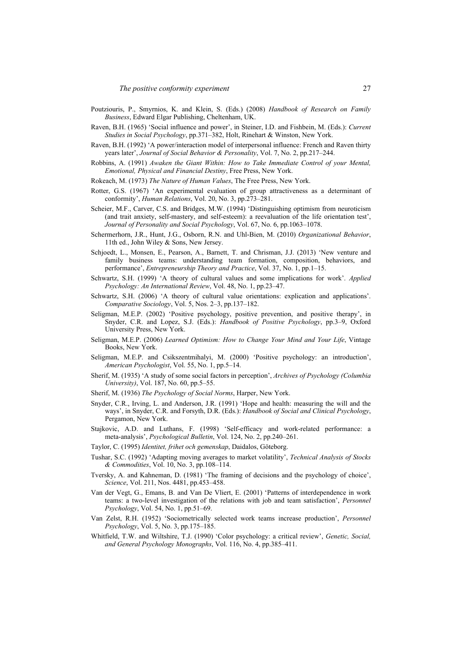- Poutziouris, P., Smyrnios, K. and Klein, S. (Eds.) (2008) *Handbook of Research on Family Business*, Edward Elgar Publishing, Cheltenham, UK.
- Raven, B.H. (1965) 'Social influence and power', in Steiner, I.D. and Fishbein, M. (Eds.): *Current Studies in Social Psychology*, pp.371–382, Holt, Rinehart & Winston, New York.
- Raven, B.H. (1992) 'A power/interaction model of interpersonal influence: French and Raven thirty years later', *Journal of Social Behavior & Personality*, Vol. 7, No. 2, pp.217–244.
- Robbins, A. (1991) *Awaken the Giant Within: How to Take Immediate Control of your Mental, Emotional, Physical and Financial Destiny*, Free Press, New York.
- Rokeach, M. (1973) *The Nature of Human Values*, The Free Press, New York.
- Rotter, G.S. (1967) 'An experimental evaluation of group attractiveness as a determinant of conformity', *Human Relations*, Vol. 20, No. 3, pp.273–281.
- Scheier, M.F., Carver, C.S. and Bridges, M.W. (1994) 'Distinguishing optimism from neuroticism (and trait anxiety, self-mastery, and self-esteem): a reevaluation of the life orientation test', *Journal of Personality and Social Psychology*, Vol. 67, No. 6, pp.1063–1078.
- Schermerhorn, J.R., Hunt, J.G., Osborn, R.N. and Uhl-Bien, M. (2010) *Organizational Behavior*, 11th ed., John Wiley & Sons, New Jersey.
- Schjoedt, L., Monsen, E., Pearson, A., Barnett, T. and Chrisman, J.J. (2013) 'New venture and family business teams: understanding team formation, composition, behaviors, and performance', *Entrepreneurship Theory and Practice*, Vol. 37, No. 1, pp.1–15.
- Schwartz, S.H. (1999) 'A theory of cultural values and some implications for work'. *Applied Psychology: An International Review*, Vol. 48, No. 1, pp.23–47.
- Schwartz, S.H. (2006) 'A theory of cultural value orientations: explication and applications'. *Comparative Sociology*, Vol. 5, Nos. 2–3, pp.137–182.
- Seligman, M.E.P. (2002) 'Positive psychology, positive prevention, and positive therapy', in Snyder, C.R. and Lopez, S.J. (Eds.): *Handbook of Positive Psychology*, pp.3–9, Oxford University Press, New York.
- Seligman, M.E.P. (2006) *Learned Optimism: How to Change Your Mind and Your Life*, Vintage Books, New York.
- Seligman, M.E.P. and Csikszentmihalyi, M. (2000) 'Positive psychology: an introduction', *American Psychologist*, Vol. 55, No. 1, pp.5–14.
- Sherif, M. (1935) 'A study of some social factors in perception', *Archives of Psychology (Columbia University)*, Vol. 187, No. 60, pp.5–55.
- Sherif, M. (1936) *The Psychology of Social Norms*, Harper, New York.
- Snyder, C.R., Irving, L. and Anderson, J.R. (1991) 'Hope and health: measuring the will and the ways', in Snyder, C.R. and Forsyth, D.R. (Eds.): *Handbook of Social and Clinical Psychology*, Pergamon, New York.
- Stajkovic, A.D. and Luthans, F. (1998) 'Self-efficacy and work-related performance: a meta-analysis', *Psychological Bulletin*, Vol. 124, No. 2, pp.240–261.
- Taylor, C. (1995) *Identitet, frihet och gemenskap*, Daidalos, Göteborg.
- Tushar, S.C. (1992) 'Adapting moving averages to market volatility', *Technical Analysis of Stocks & Commodities*, Vol. 10, No. 3, pp.108–114.
- Tversky, A. and Kahneman, D. (1981) 'The framing of decisions and the psychology of choice', *Science*, Vol. 211, Nos. 4481, pp.453–458.
- Van der Vegt, G., Emans, B. and Van De Vliert, E. (2001) 'Patterns of interdependence in work teams: a two-level investigation of the relations with job and team satisfaction', *Personnel Psychology*, Vol. 54, No. 1, pp.51–69.
- Van Zelst, R.H. (1952) 'Sociometrically selected work teams increase production', *Personnel Psychology*, Vol. 5, No. 3, pp.175–185.
- Whitfield, T.W. and Wiltshire, T.J. (1990) 'Color psychology: a critical review', *Genetic, Social, and General Psychology Monographs*, Vol. 116, No. 4, pp.385–411.